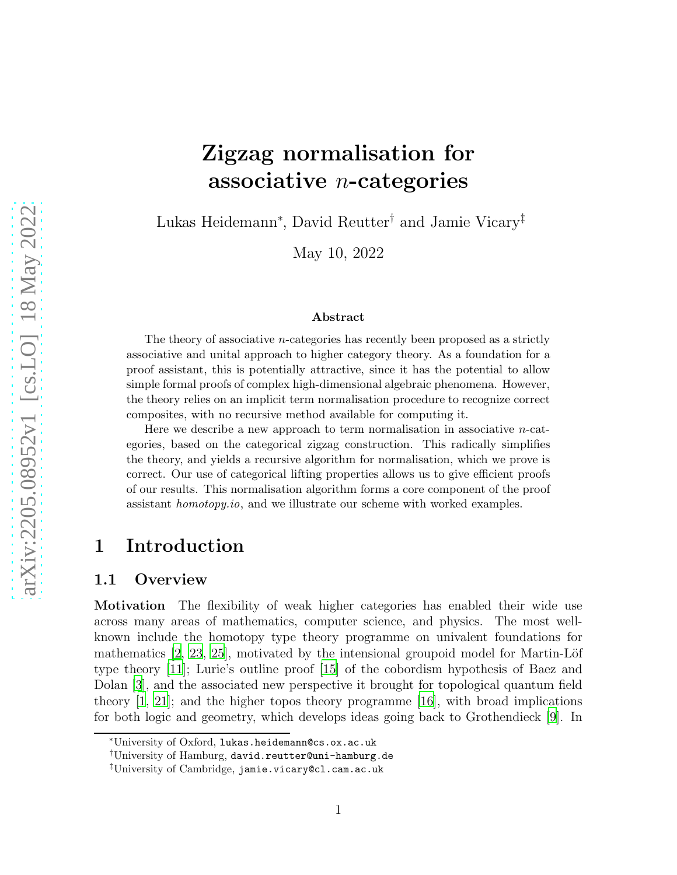# Zigzag normalisation for associative  $n$ -categories

Lukas Heidemann<sup>∗</sup> , David Reutter† and Jamie Vicary‡

May 10, 2022

#### Abstract

The theory of associative  $n$ -categories has recently been proposed as a strictly associative and unital approach to higher category theory. As a foundation for a proof assistant, this is potentially attractive, since it has the potential to allow simple formal proofs of complex high-dimensional algebraic phenomena. However, the theory relies on an implicit term normalisation procedure to recognize correct composites, with no recursive method available for computing it.

Here we describe a new approach to term normalisation in associative  $n$ -categories, based on the categorical zigzag construction. This radically simplifies the theory, and yields a recursive algorithm for normalisation, which we prove is correct. Our use of categorical lifting properties allows us to give efficient proofs of our results. This normalisation algorithm forms a core component of the proof assistant homotopy.io, and we illustrate our scheme with worked examples.

# 1 Introduction

### 1.1 Overview

Motivation The flexibility of weak higher categories has enabled their wide use across many areas of mathematics, computer science, and physics. The most wellknown include the homotopy type theory programme on univalent foundations for mathematics  $[2, 23, 25]$  $[2, 23, 25]$  $[2, 23, 25]$  $[2, 23, 25]$ , motivated by the intensional groupoid model for Martin-Löf type theory [\[11](#page-26-1)]; Lurie's outline proof [\[15\]](#page-27-2) of the cobordism hypothesis of Baez and Dolan [\[3\]](#page-26-2), and the associated new perspective it brought for topological quantum field theory  $[1, 21]$  $[1, 21]$ ; and the higher topos theory programme  $[16]$ , with broad implications for both logic and geometry, which develops ideas going back to Grothendieck [\[9](#page-26-4)]. In

<sup>∗</sup>University of Oxford, lukas.heidemann@cs.ox.ac.uk

<sup>†</sup>University of Hamburg, david.reutter@uni-hamburg.de

<sup>‡</sup>University of Cambridge, jamie.vicary@cl.cam.ac.uk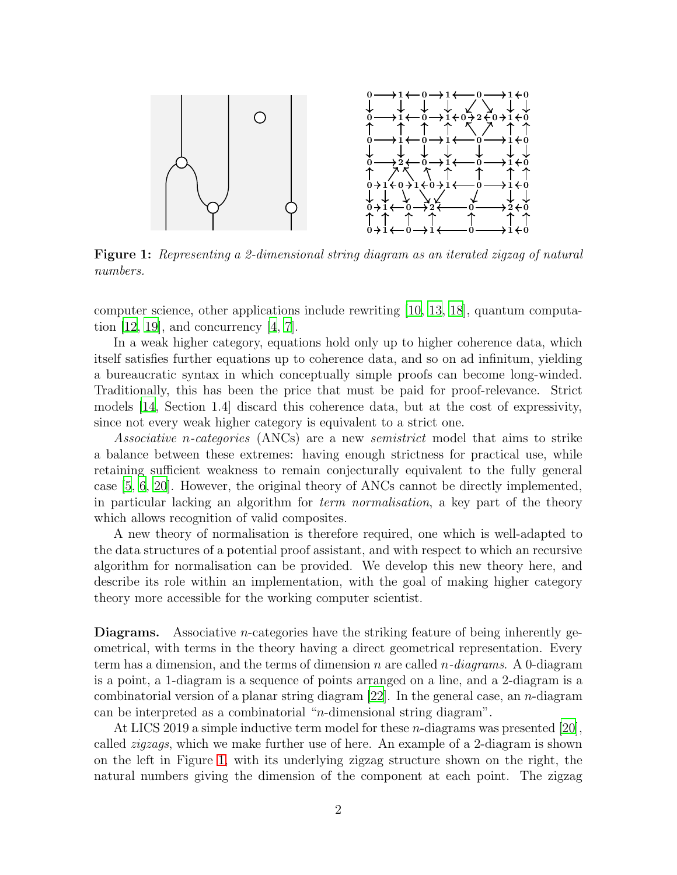<span id="page-1-0"></span>

Figure 1: Representing a 2-dimensional string diagram as an iterated zigzag of natural numbers.

computer science, other applications include rewriting [\[10,](#page-26-5) [13,](#page-26-6) [18\]](#page-27-5), quantum computation  $[12, 19]$  $[12, 19]$ , and concurrency  $[4, 7]$  $[4, 7]$ .

In a weak higher category, equations hold only up to higher coherence data, which itself satisfies further equations up to coherence data, and so on ad infinitum, yielding a bureaucratic syntax in which conceptually simple proofs can become long-winded. Traditionally, this has been the price that must be paid for proof-relevance. Strict models [\[14,](#page-26-10) Section 1.4] discard this coherence data, but at the cost of expressivity, since not every weak higher category is equivalent to a strict one.

Associative n-categories (ANCs) are a new semistrict model that aims to strike a balance between these extremes: having enough strictness for practical use, while retaining sufficient weakness to remain conjecturally equivalent to the fully general case [\[5](#page-26-11), [6](#page-26-12), [20](#page-27-7)]. However, the original theory of ANCs cannot be directly implemented, in particular lacking an algorithm for term normalisation, a key part of the theory which allows recognition of valid composites.

A new theory of normalisation is therefore required, one which is well-adapted to the data structures of a potential proof assistant, and with respect to which an recursive algorithm for normalisation can be provided. We develop this new theory here, and describe its role within an implementation, with the goal of making higher category theory more accessible for the working computer scientist.

**Diagrams.** Associative *n*-categories have the striking feature of being inherently geometrical, with terms in the theory having a direct geometrical representation. Every term has a dimension, and the terms of dimension n are called  $n$ -diagrams. A 0-diagram is a point, a 1-diagram is a sequence of points arranged on a line, and a 2-diagram is a combinatorial version of a planar string diagram  $[22]$ . In the general case, an *n*-diagram can be interpreted as a combinatorial "n-dimensional string diagram".

At LICS 2019 a simple inductive term model for these n-diagrams was presented [\[20](#page-27-7)], called zigzags, which we make further use of here. An example of a 2-diagram is shown on the left in Figure [1,](#page-1-0) with its underlying zigzag structure shown on the right, the natural numbers giving the dimension of the component at each point. The zigzag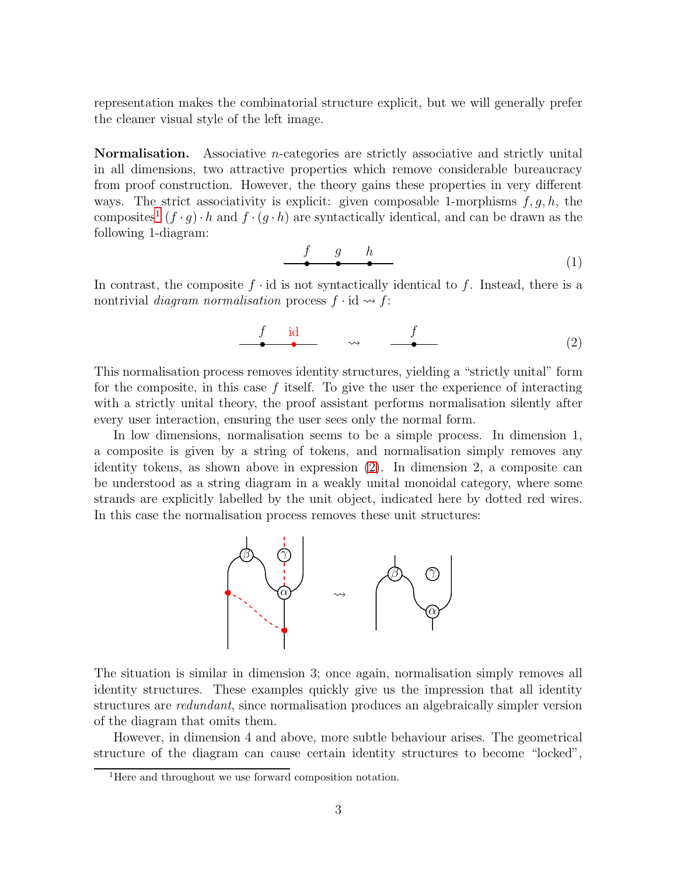representation makes the combinatorial structure explicit, but we will generally prefer the cleaner visual style of the left image.

Normalisation. Associative n-categories are strictly associative and strictly unital in all dimensions, two attractive properties which remove considerable bureaucracy from proof construction. However, the theory gains these properties in very different ways. The strict associativity is explicit: given composable 1-morphisms  $f, g, h$ , the composites<sup>[1](#page-2-0)</sup>  $(f \cdot g) \cdot h$  and  $f \cdot (g \cdot h)$  are syntactically identical, and can be drawn as the following 1-diagram:

$$
\begin{array}{cccc}\nf & g & h \\
\bullet & \bullet & \bullet\n\end{array} \tag{1}
$$

In contrast, the composite  $f \cdot id$  is not syntactically identical to f. Instead, there is a nontrivial *diagram normalisation* process  $f \cdot id \rightarrow f$ :

<span id="page-2-1"></span>
$$
\begin{array}{cccc}\nf & id & & f \\
\bullet & \bullet & \bullet & \bullet\n\end{array}
$$
 (2)

This normalisation process removes identity structures, yielding a "strictly unital" form for the composite, in this case  $f$  itself. To give the user the experience of interacting with a strictly unital theory, the proof assistant performs normalisation silently after every user interaction, ensuring the user sees only the normal form.

In low dimensions, normalisation seems to be a simple process. In dimension 1, a composite is given by a string of tokens, and normalisation simply removes any identity tokens, as shown above in expression [\(2\)](#page-2-1). In dimension 2, a composite can be understood as a string diagram in a weakly unital monoidal category, where some strands are explicitly labelled by the unit object, indicated here by dotted red wires. In this case the normalisation process removes these unit structures:



The situation is similar in dimension 3; once again, normalisation simply removes all identity structures. These examples quickly give us the impression that all identity structures are *redundant*, since normalisation produces an algebraically simpler version of the diagram that omits them.

However, in dimension 4 and above, more subtle behaviour arises. The geometrical structure of the diagram can cause certain identity structures to become "locked",

<span id="page-2-0"></span><sup>&</sup>lt;sup>1</sup>Here and throughout we use forward composition notation.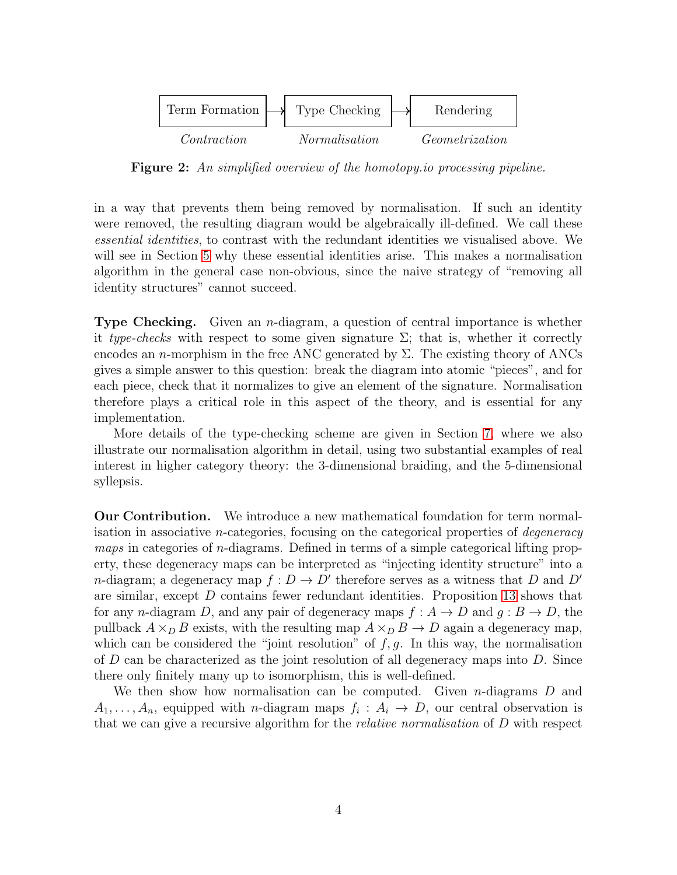<span id="page-3-0"></span>

Figure 2: An simplified overview of the homotopy.io processing pipeline.

in a way that prevents them being removed by normalisation. If such an identity were removed, the resulting diagram would be algebraically ill-defined. We call these essential identities, to contrast with the redundant identities we visualised above. We will see in Section [5](#page-14-0) why these essential identities arise. This makes a normalisation algorithm in the general case non-obvious, since the naive strategy of "removing all identity structures" cannot succeed.

**Type Checking.** Given an  $n$ -diagram, a question of central importance is whether it type-checks with respect to some given signature  $\Sigma$ ; that is, whether it correctly encodes an n-morphism in the free ANC generated by  $\Sigma$ . The existing theory of ANCs gives a simple answer to this question: break the diagram into atomic "pieces", and for each piece, check that it normalizes to give an element of the signature. Normalisation therefore plays a critical role in this aspect of the theory, and is essential for any implementation.

More details of the type-checking scheme are given in Section [7,](#page-22-0) where we also illustrate our normalisation algorithm in detail, using two substantial examples of real interest in higher category theory: the 3-dimensional braiding, and the 5-dimensional syllepsis.

Our Contribution. We introduce a new mathematical foundation for term normalisation in associative *n*-categories, focusing on the categorical properties of *degeneracy* maps in categories of n-diagrams. Defined in terms of a simple categorical lifting property, these degeneracy maps can be interpreted as "injecting identity structure" into a *n*-diagram; a degeneracy map  $f: D \to D'$  therefore serves as a witness that D and D' are similar, except D contains fewer redundant identities. Proposition [13](#page-12-0) shows that for any n-diagram D, and any pair of degeneracy maps  $f : A \to D$  and  $g : B \to D$ , the pullback  $A \times_D B$  exists, with the resulting map  $A \times_D B \to D$  again a degeneracy map, which can be considered the "joint resolution" of  $f, g$ . In this way, the normalisation of  $D$  can be characterized as the joint resolution of all degeneracy maps into  $D$ . Since there only finitely many up to isomorphism, this is well-defined.

We then show how normalisation can be computed. Given  $n$ -diagrams  $D$  and  $A_1, \ldots, A_n$ , equipped with *n*-diagram maps  $f_i : A_i \to D$ , our central observation is that we can give a recursive algorithm for the relative normalisation of D with respect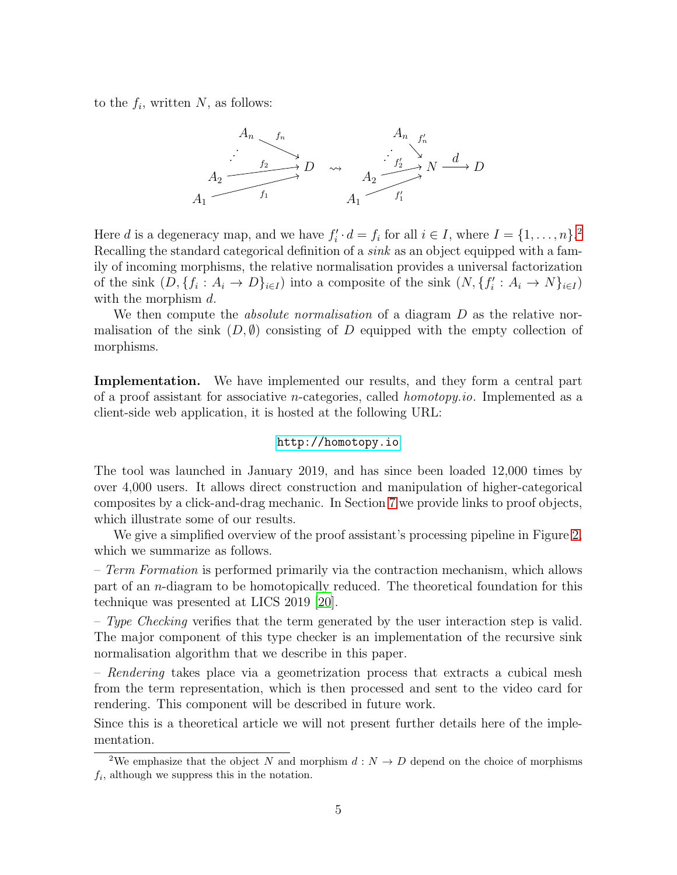to the  $f_i$ , written  $N$ , as follows:



Here d is a degeneracy map, and we have  $f_i'$  $i' \cdot d = f_i$  for all  $i \in I$ , where  $I = \{1, ..., n\}$ .<sup>[2](#page-4-0)</sup> Recalling the standard categorical definition of a *sink* as an object equipped with a family of incoming morphisms, the relative normalisation provides a universal factorization of the sink  $(D, \{f_i: A_i \to D\}_{i \in I})$  into a composite of the sink  $(N, \{f_i\})$  $i': A_i \to N\}_{i \in I})$ with the morphism d.

We then compute the *absolute normalisation* of a diagram D as the relative normalisation of the sink  $(D, \emptyset)$  consisting of D equipped with the empty collection of morphisms.

Implementation. We have implemented our results, and they form a central part of a proof assistant for associative n-categories, called homotopy.io. Implemented as a client-side web application, it is hosted at the following URL:

#### <http://homotopy.io>

The tool was launched in January 2019, and has since been loaded 12,000 times by over 4,000 users. It allows direct construction and manipulation of higher-categorical composites by a click-and-drag mechanic. In Section [7](#page-22-0) we provide links to proof objects, which illustrate some of our results.

We give a simplified overview of the proof assistant's processing pipeline in Figure [2,](#page-3-0) which we summarize as follows.

 $-Term\; Formation$  is performed primarily via the contraction mechanism, which allows part of an n-diagram to be homotopically reduced. The theoretical foundation for this technique was presented at LICS 2019 [\[20\]](#page-27-7).

– Type Checking verifies that the term generated by the user interaction step is valid. The major component of this type checker is an implementation of the recursive sink normalisation algorithm that we describe in this paper.

– Rendering takes place via a geometrization process that extracts a cubical mesh from the term representation, which is then processed and sent to the video card for rendering. This component will be described in future work.

Since this is a theoretical article we will not present further details here of the implementation.

<span id="page-4-0"></span><sup>&</sup>lt;sup>2</sup>We emphasize that the object N and morphism  $d: N \to D$  depend on the choice of morphisms  $f_i$ , although we suppress this in the notation.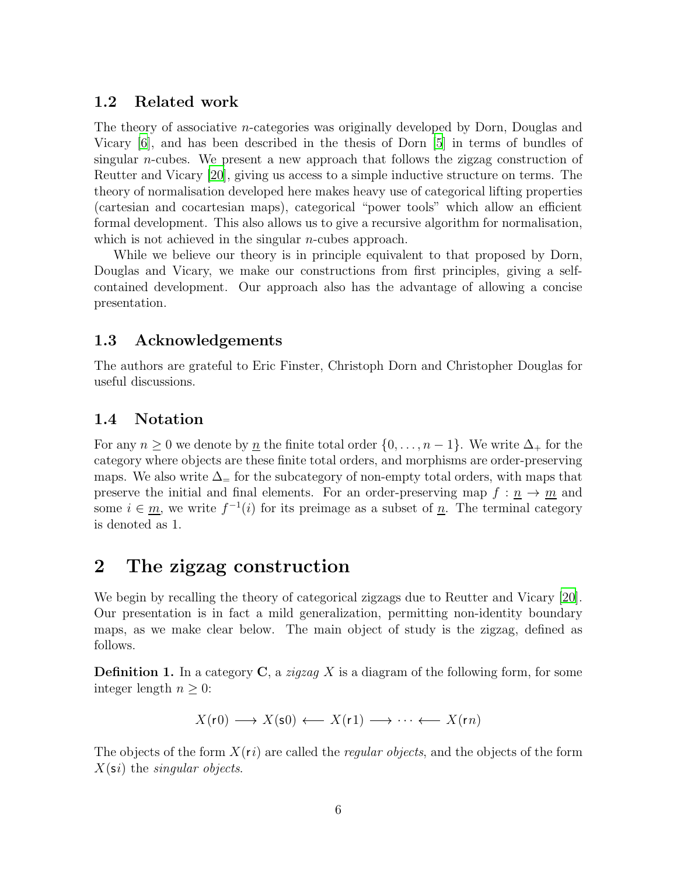### 1.2 Related work

The theory of associative n-categories was originally developed by Dorn, Douglas and Vicary [\[6](#page-26-12)], and has been described in the thesis of Dorn [\[5](#page-26-11)] in terms of bundles of singular *n*-cubes. We present a new approach that follows the zigzag construction of Reutter and Vicary [\[20](#page-27-7)], giving us access to a simple inductive structure on terms. The theory of normalisation developed here makes heavy use of categorical lifting properties (cartesian and cocartesian maps), categorical "power tools" which allow an efficient formal development. This also allows us to give a recursive algorithm for normalisation, which is not achieved in the singular *n*-cubes approach.

While we believe our theory is in principle equivalent to that proposed by Dorn, Douglas and Vicary, we make our constructions from first principles, giving a selfcontained development. Our approach also has the advantage of allowing a concise presentation.

### 1.3 Acknowledgements

The authors are grateful to Eric Finster, Christoph Dorn and Christopher Douglas for useful discussions.

### 1.4 Notation

For any  $n \geq 0$  we denote by  $\underline{n}$  the finite total order  $\{0, \ldots, n-1\}$ . We write  $\Delta_+$  for the category where objects are these finite total orders, and morphisms are order-preserving maps. We also write  $\Delta$ = for the subcategory of non-empty total orders, with maps that preserve the initial and final elements. For an order-preserving map  $f: n \to m$  and some  $i \in \underline{m}$ , we write  $f^{-1}(i)$  for its preimage as a subset of  $\underline{n}$ . The terminal category is denoted as 1.

# 2 The zigzag construction

We begin by recalling the theory of categorical zigzags due to Reutter and Vicary [\[20](#page-27-7)]. Our presentation is in fact a mild generalization, permitting non-identity boundary maps, as we make clear below. The main object of study is the zigzag, defined as follows.

**Definition 1.** In a category  $C$ , a *zigzag X* is a diagram of the following form, for some integer length  $n \geq 0$ :

$$
X(\mathsf{r0}) \longrightarrow X(\mathsf{s0}) \longleftarrow X(\mathsf{r1}) \longrightarrow \cdots \longleftarrow X(\mathsf{r}n)
$$

The objects of the form  $X(r_i)$  are called the *regular objects*, and the objects of the form  $X(\mathsf{s}i)$  the *singular objects*.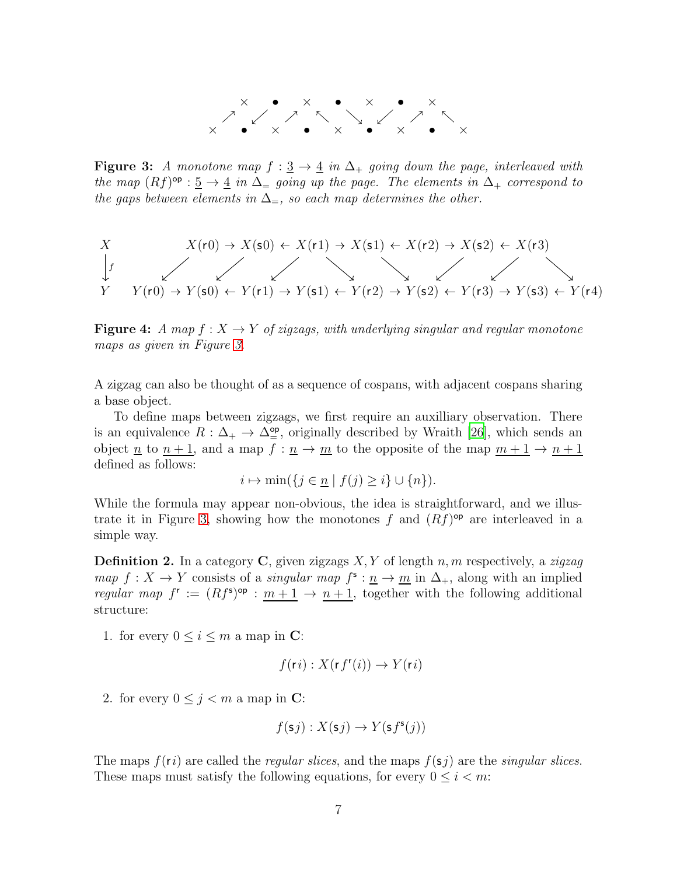

<span id="page-6-1"></span><span id="page-6-0"></span>**Figure 3:** A monotone map  $f : \underline{3} \to \underline{4}$  in  $\Delta_+$  going down the page, interleaved with the map  $(Rf)^{\mathsf{op}}: \underline{5} \to \underline{4}$  in  $\Delta_{\equiv}$  going up the page. The elements in  $\Delta_{+}$  correspond to the gaps between elements in  $\Delta_{=}$ , so each map determines the other.

$$
X
$$
  
\n
$$
X(r0) \rightarrow X(s0) \leftarrow X(r1) \rightarrow X(s1) \leftarrow X(r2) \rightarrow X(s2) \leftarrow X(r3)
$$
\n
$$
Y
$$
  
\n
$$
Y(r0) \rightarrow Y(s0) \leftarrow Y(r1) \rightarrow Y(s1) \leftarrow Y(r2) \rightarrow Y(s2) \leftarrow Y(r3) \rightarrow Y(s3) \leftarrow Y(r4)
$$

**Figure 4:** A map  $f: X \to Y$  of zigzags, with underlying singular and regular monotone maps as given in Figure [3.](#page-6-0)

A zigzag can also be thought of as a sequence of cospans, with adjacent cospans sharing a base object.

To define maps between zigzags, we first require an auxilliary observation. There is an equivalence  $R: \Delta_+ \to \Delta^{\rm op}_{=}$ , originally described by Wraith [\[26\]](#page-27-9), which sends an object <u>n</u> to  $n + 1$ , and a map  $f : \underline{n} \to \underline{m}$  to the opposite of the map  $m + 1 \to n + 1$ defined as follows:

$$
i \mapsto \min(\{j \in \underline{n} \mid f(j) \ge i\} \cup \{n\}).
$$

While the formula may appear non-obvious, the idea is straightforward, and we illus-trate it in Figure [3,](#page-6-0) showing how the monotones f and  $(Rf)$ <sup>op</sup> are interleaved in a simple way.

<span id="page-6-2"></span>**Definition 2.** In a category C, given zigzags  $X, Y$  of length n, m respectively, a zigzag map  $f: X \to Y$  consists of a *singular map*  $f^s: \underline{n} \to \underline{m}$  in  $\Delta_+$ , along with an implied regular map  $f^r := (Rf^s)^{op} : m+1 \to n+1$ , together with the following additional structure:

1. for every  $0 \leq i \leq m$  a map in C:

$$
f(\mathsf{r}i): X(\mathsf{r}f^{\mathsf{r}}(i)) \to Y(\mathsf{r}i)
$$

2. for every  $0 \leq j < m$  a map in C:

$$
f(\mathsf{s}j): X(\mathsf{s}j) \to Y(\mathsf{s}f^{\mathsf{s}}(j))
$$

The maps  $f(r_i)$  are called the *regular slices*, and the maps  $f(s_i)$  are the *singular slices*. These maps must satisfy the following equations, for every  $0 \leq i < m$ :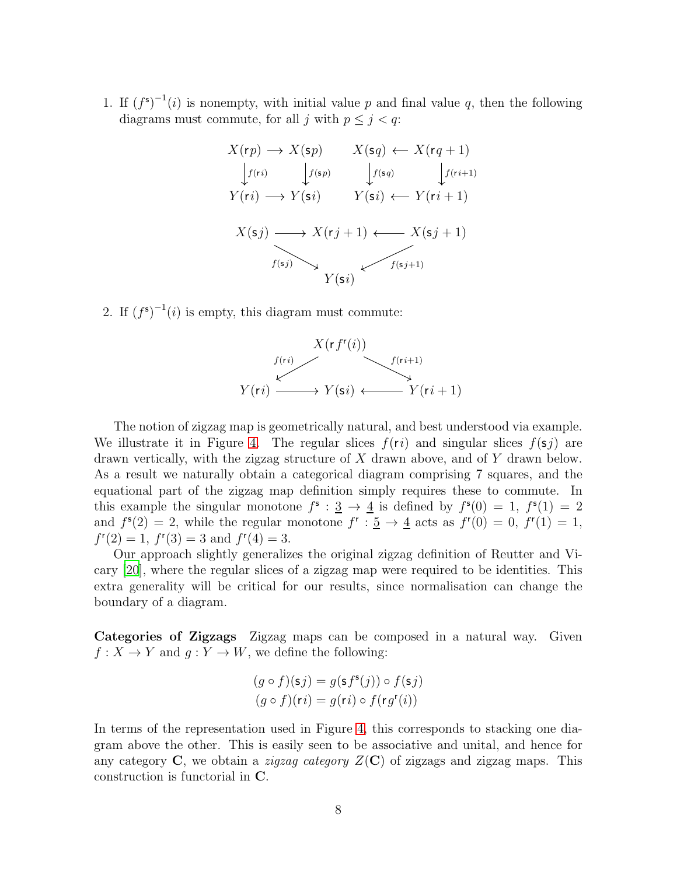1. If  $(f^s)^{-1}(i)$  is nonempty, with initial value p and final value q, then the following diagrams must commute, for all j with  $p \leq j < q$ :

$$
X(\mathbf{r}p) \to X(\mathbf{s}p) \qquad X(\mathbf{s}q) \leftarrow X(\mathbf{r}q+1)
$$
\n
$$
\downarrow f(\mathbf{r}i) \qquad \qquad \downarrow f(\mathbf{s}p) \qquad \qquad \downarrow f(\mathbf{r}i+1)
$$
\n
$$
Y(\mathbf{r}i) \longrightarrow Y(\mathbf{s}i) \qquad Y(\mathbf{s}i) \leftarrow Y(\mathbf{r}i+1)
$$
\n
$$
X(\mathbf{s}j) \longrightarrow X(\mathbf{r}j+1) \longleftarrow X(\mathbf{s}j+1)
$$
\n
$$
Y(\mathbf{s}i) \qquad Y(\mathbf{s}i)
$$

2. If  $(f^s)^{-1}(i)$  is empty, this diagram must commute:



The notion of zigzag map is geometrically natural, and best understood via example. We illustrate it in Figure [4.](#page-6-1) The regular slices  $f(r_i)$  and singular slices  $f(s_i)$  are drawn vertically, with the zigzag structure of X drawn above, and of Y drawn below. As a result we naturally obtain a categorical diagram comprising 7 squares, and the equational part of the zigzag map definition simply requires these to commute. In this example the singular monotone  $f^s : \underline{3} \to \underline{4}$  is defined by  $f^s(0) = 1$ ,  $f^s(1) = 2$ and  $f^{s}(2) = 2$ , while the regular monotone  $f^{r} : \underline{5} \to \underline{4}$  acts as  $f^{r}(0) = 0$ ,  $f^{r}(1) = 1$ ,  $f''(2) = 1$ ,  $f'(3) = 3$  and  $f''(4) = 3$ .

Our approach slightly generalizes the original zigzag definition of Reutter and Vicary [\[20\]](#page-27-7), where the regular slices of a zigzag map were required to be identities. This extra generality will be critical for our results, since normalisation can change the boundary of a diagram.

Categories of Zigzags Zigzag maps can be composed in a natural way. Given  $f: X \to Y$  and  $g: Y \to W$ , we define the following:

$$
(g \circ f)(sj) = g(s f^{s}(j)) \circ f(sj)
$$

$$
(g \circ f)(ri) = g(ri) \circ f(rg^{r}(i))
$$

In terms of the representation used in Figure [4,](#page-6-1) this corresponds to stacking one diagram above the other. This is easily seen to be associative and unital, and hence for any category C, we obtain a *zigzag category*  $Z(\mathbf{C})$  of zigzags and zigzag maps. This construction is functorial in C.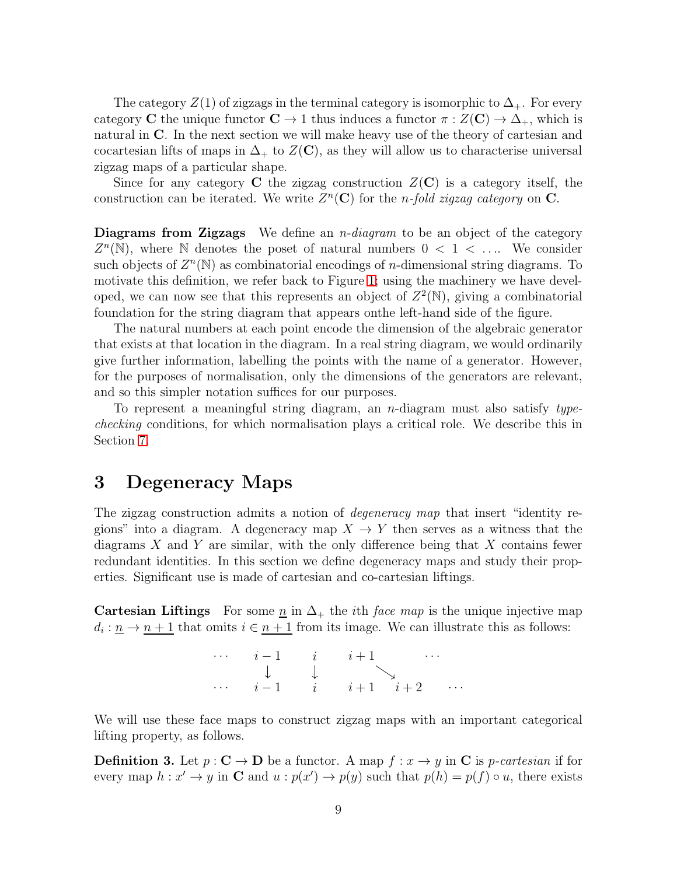The category  $Z(1)$  of zigzags in the terminal category is isomorphic to  $\Delta_{+}$ . For every category C the unique functor  $C \to 1$  thus induces a functor  $\pi : Z(\mathbf{C}) \to \Delta_+$ , which is natural in C. In the next section we will make heavy use of the theory of cartesian and cocartesian lifts of maps in  $\Delta_+$  to  $Z(\mathbf{C})$ , as they will allow us to characterise universal zigzag maps of a particular shape.

Since for any category C the zigzag construction  $Z(\mathbf{C})$  is a category itself, the construction can be iterated. We write  $Z<sup>n</sup>(**C**)$  for the *n-fold zigzag category* on **C**.

**Diagrams from Zigzags** We define an *n-diagram* to be an object of the category  $Z^n(\mathbb{N})$ , where N denotes the poset of natural numbers  $0 < 1 < \ldots$  We consider such objects of  $Z<sup>n</sup>(\mathbb{N})$  as combinatorial encodings of *n*-dimensional string diagrams. To motivate this definition, we refer back to Figure [1;](#page-1-0) using the machinery we have developed, we can now see that this represents an object of  $Z^2(\mathbb{N})$ , giving a combinatorial foundation for the string diagram that appears onthe left-hand side of the figure.

The natural numbers at each point encode the dimension of the algebraic generator that exists at that location in the diagram. In a real string diagram, we would ordinarily give further information, labelling the points with the name of a generator. However, for the purposes of normalisation, only the dimensions of the generators are relevant, and so this simpler notation suffices for our purposes.

To represent a meaningful string diagram, an *n*-diagram must also satisfy typechecking conditions, for which normalisation plays a critical role. We describe this in Section [7.](#page-22-0)

### 3 Degeneracy Maps

The zigzag construction admits a notion of *degeneracy map* that insert "identity regions" into a diagram. A degeneracy map  $X \to Y$  then serves as a witness that the diagrams  $X$  and  $Y$  are similar, with the only difference being that  $X$  contains fewer redundant identities. In this section we define degeneracy maps and study their properties. Significant use is made of cartesian and co-cartesian liftings.

**Cartesian Liftings** For some  $\underline{n}$  in  $\Delta_+$  the *i*th *face map* is the unique injective map  $d_i: \underline{n} \to \underline{n+1}$  that omits  $i \in \underline{n+1}$  from its image. We can illustrate this as follows:

| $\cdots$ $i-1$ $i$ $i+1$                |                                                    | $\cdots$ |  |
|-----------------------------------------|----------------------------------------------------|----------|--|
|                                         | $\downarrow$ $\downarrow$ $\qquad \qquad \searrow$ |          |  |
| $\cdots$ $i-1$ $i$ $i+1$ $i+2$ $\cdots$ |                                                    |          |  |

We will use these face maps to construct zigzag maps with an important categorical lifting property, as follows.

**Definition 3.** Let  $p : \mathbb{C} \to \mathbb{D}$  be a functor. A map  $f : x \to y$  in  $\mathbb{C}$  is *p*-cartesian if for every map  $h: x' \to y$  in C and  $u: p(x') \to p(y)$  such that  $p(h) = p(f) \circ u$ , there exists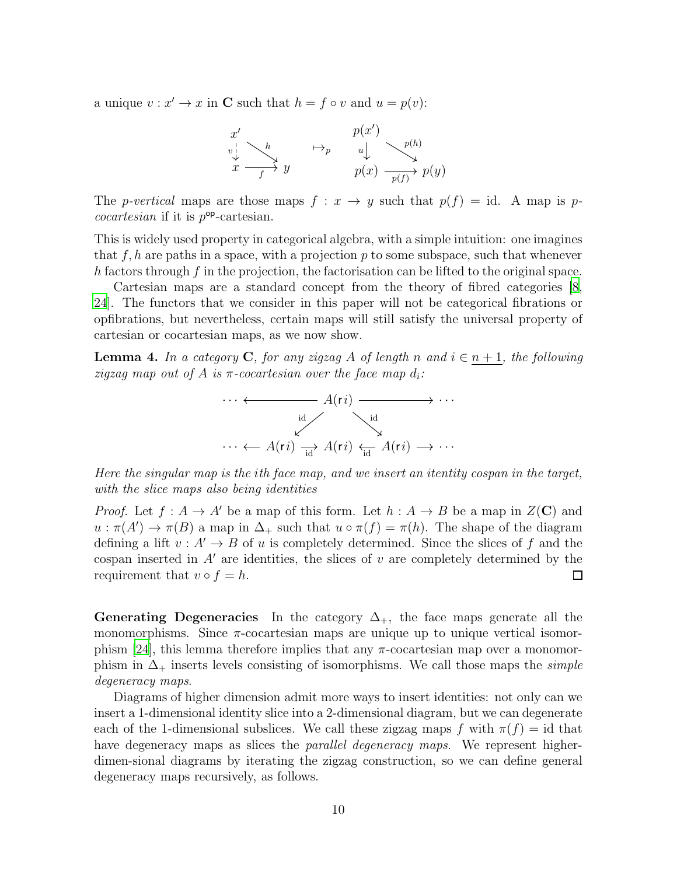a unique  $v : x' \to x$  in **C** such that  $h = f \circ v$  and  $u = p(v)$ :

$$
\begin{array}{ccc}\nx' & & & p(x') & \\
\downarrow & \searrow & & \downarrow & \\
x & \xrightarrow{f} & y & & \downarrow & \\
y(x) & \searrow & & \searrow & \\
y(x) & \searrow & & \searrow & \\
y(x) & \searrow & & \searrow & \\
y(x) & \searrow & & \searrow & \\
y(x) & \searrow & & \searrow & \\
y(x) & \searrow & & \searrow & \\
y(x) & \searrow & & \searrow & \\
y(x) & \searrow & & \searrow & \\
y(x) & \searrow & & \searrow & \\
y(x) & \searrow & & \searrow & \\
y(x) & \searrow & & \searrow & \\
y(x) & \searrow & & \searrow & \\
y(x) & \searrow & & \searrow & \\
y(x) & \searrow & & \searrow & \\
y(x) & \searrow & & \searrow & \\
y(x) & \searrow & & \searrow & \\
y(x) & \searrow & & \searrow & \\
y(x) & \searrow & & \searrow & \\
y(x) & \searrow & & \searrow & \\
y(x) & \searrow & & \searrow & \\
y(x) & \searrow & & \searrow & \\
y(x) & \searrow & & \searrow & \\
y(x) & \searrow & & \searrow & \\
y(x) & \searrow & & \searrow & \\
y(x) & \searrow & & \searrow & \\
y(x) & \searrow & & \searrow & \\
y(x) & \searrow & & \searrow & \\
y(x) & \searrow & & \searrow & \\
y(x) & \searrow & & \searrow & \\
y(x) & \searrow & & \searrow & \\
y(x) & \searrow & & \searrow & \\
y(x) & \searrow & & \searrow & \\
y(x) & \searrow & & \searrow & \\
y(x) & \searrow & & \searrow & \\
y(x) & \searrow & & \searrow & \\
y(x) & \searrow & & \searrow & \\
y(x) & \searrow & & \searrow & \\
y(x) & \searrow & & \searrow & \\
y(x) & \searrow & & \searrow & \\
y(x) & \searrow & & \searrow & \\
y(x) & \searrow & & \searrow & \\
y(x) & \searrow & & \searrow & \\
y(x) & \searrow & & \searrow & \\
y(x) & \searrow & & \searrow & \\
y(x) & \searrow & & \searrow & \\
y(x) & \searrow & & \searrow & \\
y(x) & \searrow & & \searrow & \\
y(x) & \searrow & & \searrow & \\
y(x) & \searrow & & \searrow & \\
y(x) & \searrow & & \searrow & \\
y(x) & \searrow & & \searrow
$$

The *p-vertical* maps are those maps  $f: x \to y$  such that  $p(f) = id$ . A map is *pcocartesian* if it is  $p^{\text{op}}$ -cartesian.

This is widely used property in categorical algebra, with a simple intuition: one imagines that  $f, h$  are paths in a space, with a projection p to some subspace, such that whenever h factors through f in the projection, the factorisation can be lifted to the original space.

Cartesian maps are a standard concept from the theory of fibred categories [\[8,](#page-26-13) [24\]](#page-27-10). The functors that we consider in this paper will not be categorical fibrations or opfibrations, but nevertheless, certain maps will still satisfy the universal property of cartesian or cocartesian maps, as we now show.

<span id="page-9-0"></span>**Lemma 4.** In a category C, for any zigzag A of length n and  $i \in n+1$ , the following zigzag map out of A is  $\pi$ -cocartesian over the face map  $d_i$ :



Here the singular map is the ith face map, and we insert an itentity cospan in the target, with the slice maps also being identities

*Proof.* Let  $f : A \to A'$  be a map of this form. Let  $h : A \to B$  be a map in  $Z(\mathbf{C})$  and  $u : \pi(A') \to \pi(B)$  a map in  $\Delta_+$  such that  $u \circ \pi(f) = \pi(h)$ . The shape of the diagram defining a lift  $v : A' \to B$  of u is completely determined. Since the slices of f and the cospan inserted in  $A'$  are identities, the slices of v are completely determined by the requirement that  $v \circ f = h$ .  $\Box$ 

Generating Degeneracies In the category  $\Delta_{+}$ , the face maps generate all the monomorphisms. Since  $\pi$ -cocartesian maps are unique up to unique vertical isomor-phism [\[24\]](#page-27-10), this lemma therefore implies that any  $\pi$ -cocartesian map over a monomorphism in  $\Delta_+$  inserts levels consisting of isomorphisms. We call those maps the *simple* degeneracy maps.

Diagrams of higher dimension admit more ways to insert identities: not only can we insert a 1-dimensional identity slice into a 2-dimensional diagram, but we can degenerate each of the 1-dimensional subslices. We call these zigzag maps f with  $\pi(f) = id$  that have degeneracy maps as slices the *parallel degeneracy maps*. We represent higherdimen-sional diagrams by iterating the zigzag construction, so we can define general degeneracy maps recursively, as follows.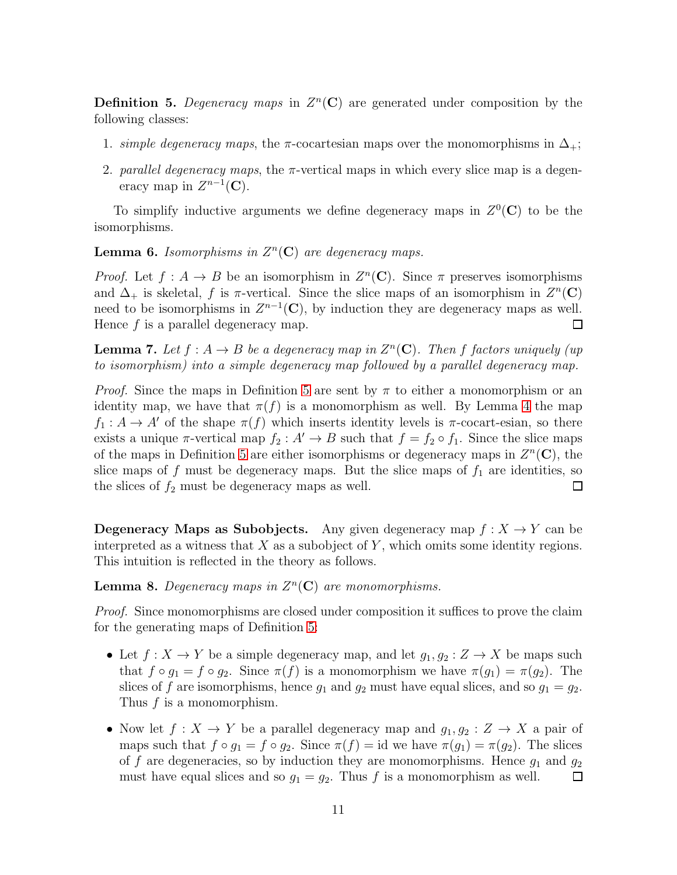<span id="page-10-0"></span>**Definition 5.** Degeneracy maps in  $Z<sup>n</sup>(**C**)$  are generated under composition by the following classes:

- 1. simple degeneracy maps, the  $\pi$ -cocartesian maps over the monomorphisms in  $\Delta_+$ ;
- 2. parallel degeneracy maps, the  $\pi$ -vertical maps in which every slice map is a degeneracy map in  $Z^{n-1}(\mathbf{C})$ .

To simplify inductive arguments we define degeneracy maps in  $Z^0(\mathbf{C})$  to be the isomorphisms.

<span id="page-10-2"></span>**Lemma 6.** Isomorphisms in  $Z<sup>n</sup>(C)$  are degeneracy maps.

*Proof.* Let  $f: A \to B$  be an isomorphism in  $Z<sup>n</sup>(\mathbf{C})$ . Since  $\pi$  preserves isomorphisms and  $\Delta_+$  is skeletal, f is  $\pi$ -vertical. Since the slice maps of an isomorphism in  $Z^n(\mathbf{C})$ need to be isomorphisms in  $Z^{n-1}(\mathbb{C})$ , by induction they are degeneracy maps as well. Hence  $f$  is a parallel degeneracy map.  $\Box$ 

<span id="page-10-3"></span>**Lemma 7.** Let  $f : A \to B$  be a degeneracy map in  $Z<sup>n</sup>(\mathbf{C})$ . Then f factors uniquely (up to isomorphism) into a simple degeneracy map followed by a parallel degeneracy map.

*Proof.* Since the maps in Definition [5](#page-10-0) are sent by  $\pi$  to either a monomorphism or an identity map, we have that  $\pi(f)$  is a monomorphism as well. By Lemma [4](#page-9-0) the map  $f_1: A \to A'$  of the shape  $\pi(f)$  which inserts identity levels is  $\pi$ -cocart-esian, so there exists a unique  $\pi$ -vertical map  $f_2 : A' \to B$  such that  $f = f_2 \circ f_1$ . Since the slice maps of the maps in Definition [5](#page-10-0) are either isomorphisms or degeneracy maps in  $Z<sup>n</sup>(**C**)$ , the slice maps of f must be degeneracy maps. But the slice maps of  $f_1$  are identities, so the slices of  $f_2$  must be degeneracy maps as well.  $\Box$ 

**Degeneracy Maps as Subobjects.** Any given degeneracy map  $f: X \to Y$  can be interpreted as a witness that  $X$  as a subobject of  $Y$ , which omits some identity regions. This intuition is reflected in the theory as follows.

<span id="page-10-1"></span>**Lemma 8.** Degeneracy maps in  $Z<sup>n</sup>(C)$  are monomorphisms.

Proof. Since monomorphisms are closed under composition it suffices to prove the claim for the generating maps of Definition [5:](#page-10-0)

- Let  $f: X \to Y$  be a simple degeneracy map, and let  $g_1, g_2: Z \to X$  be maps such that  $f \circ g_1 = f \circ g_2$ . Since  $\pi(f)$  is a monomorphism we have  $\pi(g_1) = \pi(g_2)$ . The slices of f are isomorphisms, hence  $g_1$  and  $g_2$  must have equal slices, and so  $g_1 = g_2$ . Thus  $f$  is a monomorphism.
- Now let  $f: X \to Y$  be a parallel degeneracy map and  $g_1, g_2: Z \to X$  a pair of maps such that  $f \circ g_1 = f \circ g_2$ . Since  $\pi(f) = id$  we have  $\pi(g_1) = \pi(g_2)$ . The slices of f are degeneracies, so by induction they are monomorphisms. Hence  $g_1$  and  $g_2$ must have equal slices and so  $g_1 = g_2$ . Thus f is a monomorphism as well.  $\Box$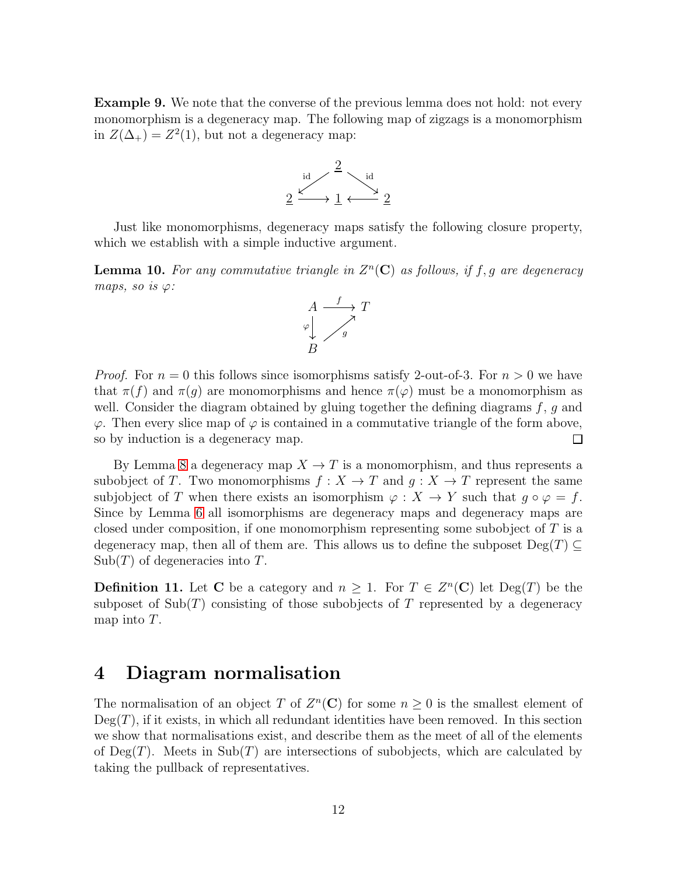Example 9. We note that the converse of the previous lemma does not hold: not every monomorphism is a degeneracy map. The following map of zigzags is a monomorphism in  $Z(\Delta_+) = Z^2(1)$ , but not a degeneracy map:



Just like monomorphisms, degeneracy maps satisfy the following closure property, which we establish with a simple inductive argument.

<span id="page-11-0"></span>**Lemma 10.** For any commutative triangle in  $Z<sup>n</sup>(**C**)$  as follows, if f, g are degeneracy maps, so is  $\varphi$ :



*Proof.* For  $n = 0$  this follows since isomorphisms satisfy 2-out-of-3. For  $n > 0$  we have that  $\pi(f)$  and  $\pi(g)$  are monomorphisms and hence  $\pi(\varphi)$  must be a monomorphism as well. Consider the diagram obtained by gluing together the defining diagrams  $f, g$  and  $\varphi$ . Then every slice map of  $\varphi$  is contained in a commutative triangle of the form above, so by induction is a degeneracy map. 口

By Lemma [8](#page-10-1) a degeneracy map  $X \to T$  is a monomorphism, and thus represents a subobject of T. Two monomorphisms  $f: X \to T$  and  $q: X \to T$  represent the same subjobject of T when there exists an isomorphism  $\varphi: X \to Y$  such that  $g \circ \varphi = f$ . Since by Lemma [6](#page-10-2) all isomorphisms are degeneracy maps and degeneracy maps are closed under composition, if one monomorphism representing some subobject of  $T$  is a degeneracy map, then all of them are. This allows us to define the subposet  $\text{Deg}(T) \subseteq$  $\text{Sub}(T)$  of degeneracies into T.

**Definition 11.** Let **C** be a category and  $n \geq 1$ . For  $T \in Z<sup>n</sup>(\mathbb{C})$  let  $\text{Deg}(T)$  be the subposet of  $\text{Sub}(T)$  consisting of those subobjects of T represented by a degeneracy map into T.

# 4 Diagram normalisation

The normalisation of an object T of  $Z<sup>n</sup>(**C**)$  for some  $n \geq 0$  is the smallest element of  $Deg(T)$ , if it exists, in which all redundant identities have been removed. In this section we show that normalisations exist, and describe them as the meet of all of the elements of  $\text{Deg}(T)$ . Meets in  $\text{Sub}(T)$  are intersections of subobjects, which are calculated by taking the pullback of representatives.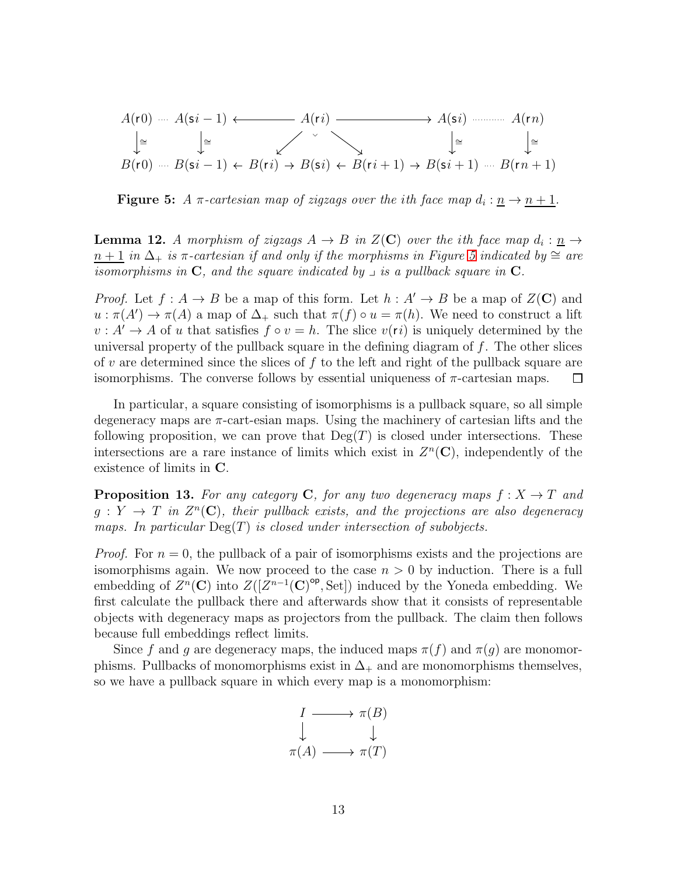<span id="page-12-1"></span>
$$
A(\mathbf{r}0) \cdots A(\mathbf{s}i-1) \longleftrightarrow A(\mathbf{s}i) \longrightarrow A(\mathbf{s}i) \longrightarrow A(\mathbf{r}n)
$$
  
\n
$$
\downarrow \cong \qquad \qquad \downarrow \cong \qquad \qquad \searrow
$$
  
\n
$$
B(\mathbf{r}0) \cdots B(\mathbf{s}i-1) \leftarrow B(\mathbf{r}i) \rightarrow B(\mathbf{s}i) \leftarrow B(\mathbf{r}i+1) \rightarrow B(\mathbf{s}i+1) \cdots B(\mathbf{r}n+1)
$$

**Figure 5:** A  $\pi$ -cartesian map of zigzags over the ith face map  $d_i: \underline{n} \to \underline{n+1}$ .

<span id="page-12-2"></span>**Lemma 12.** A morphism of zigzags  $A \to B$  in  $Z(\mathbf{C})$  over the ith face map  $d_i: \underline{n} \to$  $n+1$  in  $\Delta_+$  is  $\pi$ -cartesian if and only if the morphisms in Figure [5](#page-12-1) indicated by  $\cong$  are isomorphisms in  $C$ , and the square indicated by  $\lrcorner$  is a pullback square in  $C$ .

*Proof.* Let  $f : A \to B$  be a map of this form. Let  $h : A' \to B$  be a map of  $Z(\mathbb{C})$  and  $u : \pi(A') \to \pi(A)$  a map of  $\Delta_+$  such that  $\pi(f) \circ u = \pi(h)$ . We need to construct a lift  $v: A' \to A$  of u that satisfies  $f \circ v = h$ . The slice  $v(ri)$  is uniquely determined by the universal property of the pullback square in the defining diagram of  $f$ . The other slices of v are determined since the slices of f to the left and right of the pullback square are isomorphisms. The converse follows by essential uniqueness of  $\pi$ -cartesian maps. □

In particular, a square consisting of isomorphisms is a pullback square, so all simple degeneracy maps are π-cart-esian maps. Using the machinery of cartesian lifts and the following proposition, we can prove that  $Deg(T)$  is closed under intersections. These intersections are a rare instance of limits which exist in  $Z<sup>n</sup>(**C**)$ , independently of the existence of limits in C.

<span id="page-12-0"></span>**Proposition 13.** For any category C, for any two degeneracy maps  $f: X \rightarrow T$  and  $g: Y \to T$  in  $Z<sup>n</sup>(\mathbf{C})$ , their pullback exists, and the projections are also degeneracy maps. In particular  $\text{Deg}(T)$  is closed under intersection of subobjects.

*Proof.* For  $n = 0$ , the pullback of a pair of isomorphisms exists and the projections are isomorphisms again. We now proceed to the case  $n > 0$  by induction. There is a full embedding of  $Z^n(\mathbf{C})$  into  $Z([Z^{n-1}(\mathbf{C})^{\text{op}}, \text{Set}])$  induced by the Yoneda embedding. We first calculate the pullback there and afterwards show that it consists of representable objects with degeneracy maps as projectors from the pullback. The claim then follows because full embeddings reflect limits.

Since f and g are degeneracy maps, the induced maps  $\pi(f)$  and  $\pi(g)$  are monomorphisms. Pullbacks of monomorphisms exist in  $\Delta_+$  and are monomorphisms themselves, so we have a pullback square in which every map is a monomorphism:

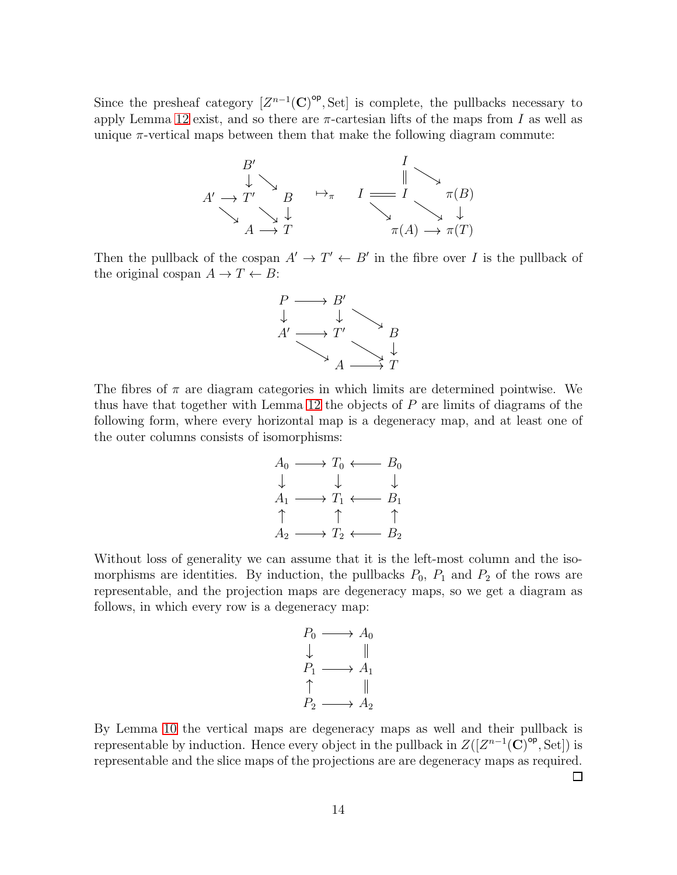Since the presheaf category  $[Z^{n-1}(\mathbf{C})^{\mathsf{op}}, \text{Set}]$  is complete, the pullbacks necessary to apply Lemma [12](#page-12-2) exist, and so there are  $\pi$ -cartesian lifts of the maps from I as well as unique  $\pi$ -vertical maps between them that make the following diagram commute:



Then the pullback of the cospan  $A' \to T' \leftarrow B'$  in the fibre over I is the pullback of the original cospan  $A \to T \leftarrow B$ :



The fibres of  $\pi$  are diagram categories in which limits are determined pointwise. We thus have that together with Lemma [12](#page-12-2) the objects of P are limits of diagrams of the following form, where every horizontal map is a degeneracy map, and at least one of the outer columns consists of isomorphisms:



Without loss of generality we can assume that it is the left-most column and the isomorphisms are identities. By induction, the pullbacks  $P_0$ ,  $P_1$  and  $P_2$  of the rows are representable, and the projection maps are degeneracy maps, so we get a diagram as follows, in which every row is a degeneracy map:

$$
\begin{array}{ccc}\nP_0 & \longrightarrow & A_0 \\
\downarrow & & \parallel \\
P_1 & \longrightarrow & A_1 \\
\uparrow & & \parallel \\
P_2 & \longrightarrow & A_2\n\end{array}
$$

By Lemma [10](#page-11-0) the vertical maps are degeneracy maps as well and their pullback is representable by induction. Hence every object in the pullback in  $Z([Z^{n-1}(\mathbf{C})^{\text{op}}, \text{Set}])$  is representable and the slice maps of the projections are are degeneracy maps as required. □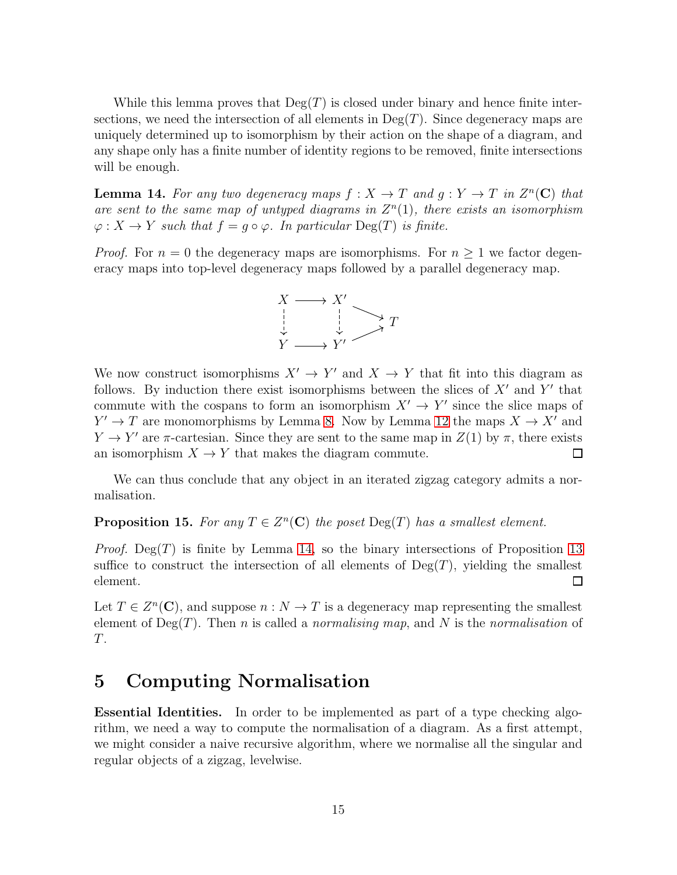While this lemma proves that  $Deg(T)$  is closed under binary and hence finite intersections, we need the intersection of all elements in  $Deg(T)$ . Since degeneracy maps are uniquely determined up to isomorphism by their action on the shape of a diagram, and any shape only has a finite number of identity regions to be removed, finite intersections will be enough.

<span id="page-14-1"></span>**Lemma 14.** For any two degeneracy maps  $f: X \to T$  and  $g: Y \to T$  in  $Z<sup>n</sup>(C)$  that are sent to the same map of untyped diagrams in  $Z<sup>n</sup>(1)$ , there exists an isomorphism  $\varphi: X \to Y$  such that  $f = q \circ \varphi$ . In particular  $\text{Deg}(T)$  is finite.

*Proof.* For  $n = 0$  the degeneracy maps are isomorphisms. For  $n \geq 1$  we factor degeneracy maps into top-level degeneracy maps followed by a parallel degeneracy map.



We now construct isomorphisms  $X' \to Y'$  and  $X \to Y$  that fit into this diagram as follows. By induction there exist isomorphisms between the slices of  $X'$  and  $Y'$  that commute with the cospans to form an isomorphism  $X' \to Y'$  since the slice maps of  $Y' \to T$  are monomorphisms by Lemma [8.](#page-10-1) Now by Lemma [12](#page-12-2) the maps  $X \to X'$  and  $Y \to Y'$  are  $\pi$ -cartesian. Since they are sent to the same map in  $Z(1)$  by  $\pi$ , there exists an isomorphism  $X \to Y$  that makes the diagram commute. 口

We can thus conclude that any object in an iterated zigzag category admits a normalisation.

### <span id="page-14-2"></span>**Proposition 15.** For any  $T \in Z^n(\mathbb{C})$  the poset  $\text{Deg}(T)$  has a smallest element.

*Proof.* Deg(T) is finite by Lemma [14,](#page-14-1) so the binary intersections of Proposition [13](#page-12-0) suffice to construct the intersection of all elements of  $Deg(T)$ , yielding the smallest element. □

Let  $T \in Z^n(\mathbb{C})$ , and suppose  $n : N \to T$  is a degeneracy map representing the smallest element of  $Deg(T)$ . Then *n* is called a *normalising map*, and N is the *normalisation* of T.

## <span id="page-14-0"></span>5 Computing Normalisation

Essential Identities. In order to be implemented as part of a type checking algorithm, we need a way to compute the normalisation of a diagram. As a first attempt, we might consider a naive recursive algorithm, where we normalise all the singular and regular objects of a zigzag, levelwise.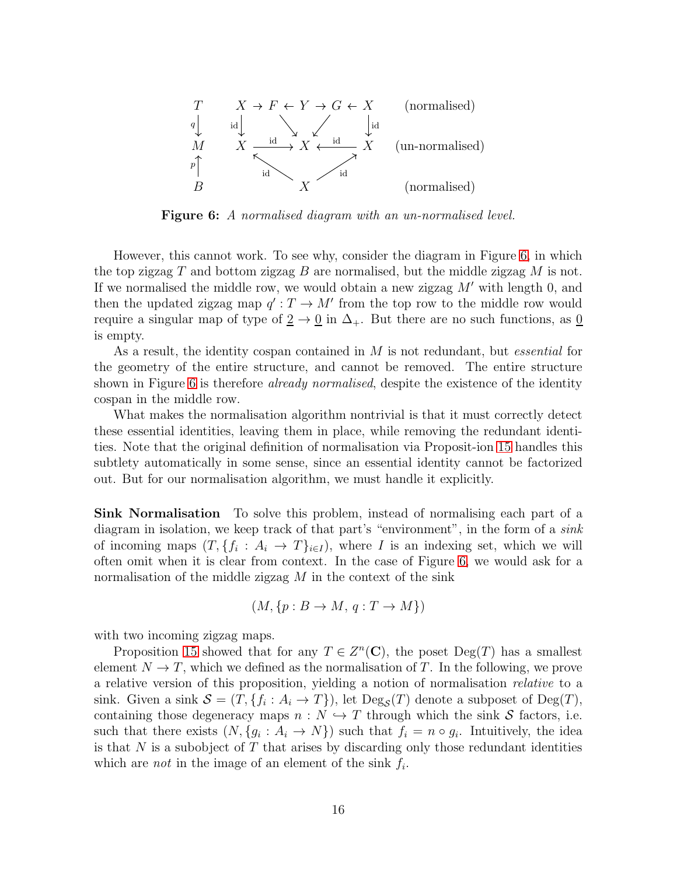<span id="page-15-0"></span>

**Figure 6:** A normalised diagram with an un-normalised level.

However, this cannot work. To see why, consider the diagram in Figure [6,](#page-15-0) in which the top zigzag  $T$  and bottom zigzag  $B$  are normalised, but the middle zigzag  $M$  is not. If we normalised the middle row, we would obtain a new zigzag  $M'$  with length 0, and then the updated zigzag map  $q': T \to M'$  from the top row to the middle row would require a singular map of type of  $\underline{2} \rightarrow \underline{0}$  in  $\Delta_+$ . But there are no such functions, as  $\underline{0}$ is empty.

As a result, the identity cospan contained in M is not redundant, but essential for the geometry of the entire structure, and cannot be removed. The entire structure shown in Figure [6](#page-15-0) is therefore *already normalised*, despite the existence of the identity cospan in the middle row.

What makes the normalisation algorithm nontrivial is that it must correctly detect these essential identities, leaving them in place, while removing the redundant identities. Note that the original definition of normalisation via Proposit-ion [15](#page-14-2) handles this subtlety automatically in some sense, since an essential identity cannot be factorized out. But for our normalisation algorithm, we must handle it explicitly.

Sink Normalisation To solve this problem, instead of normalising each part of a diagram in isolation, we keep track of that part's "environment", in the form of a sink of incoming maps  $(T, \{f_i : A_i \to T\}_{i \in I})$ , where I is an indexing set, which we will often omit when it is clear from context. In the case of Figure [6,](#page-15-0) we would ask for a normalisation of the middle zigzag  $M$  in the context of the sink

$$
(M, \{p : B \to M, q : T \to M\})
$$

with two incoming zigzag maps.

Proposition [15](#page-14-2) showed that for any  $T \in Z^n(\mathbb{C})$ , the poset  $\text{Deg}(T)$  has a smallest element  $N \to T$ , which we defined as the normalisation of T. In the following, we prove a relative version of this proposition, yielding a notion of normalisation relative to a sink. Given a sink  $S = (T, \{f_i : A_i \to T\})$ , let  $\text{Deg}_{\mathcal{S}}(T)$  denote a subposet of  $\text{Deg}(T)$ , containing those degeneracy maps  $n : N \hookrightarrow T$  through which the sink S factors, i.e. such that there exists  $(N, \{g_i : A_i \to N\})$  such that  $f_i = n \circ g_i$ . Intuitively, the idea is that  $N$  is a subobject of  $T$  that arises by discarding only those redundant identities which are *not* in the image of an element of the sink  $f_i$ .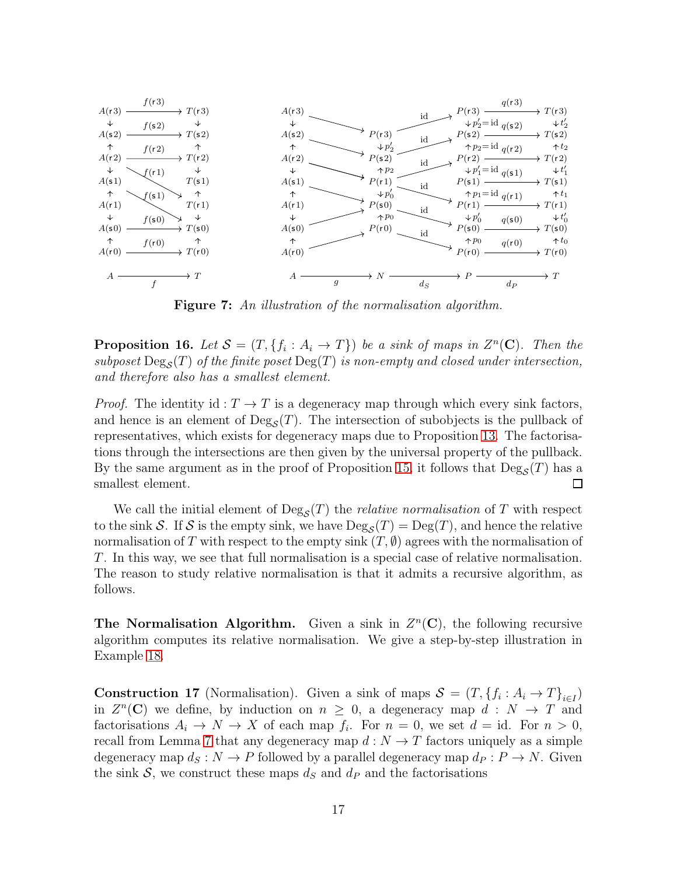<span id="page-16-0"></span>

Figure 7: An illustration of the normalisation algorithm.

<span id="page-16-2"></span>**Proposition 16.** Let  $S = (T, \{f_i : A_i \to T\})$  be a sink of maps in  $Z^n(\mathbf{C})$ . Then the subposet  $\text{Deg}_{\mathcal{S}}(T)$  of the finite poset  $\text{Deg}(T)$  is non-empty and closed under intersection, and therefore also has a smallest element.

*Proof.* The identity id :  $T \rightarrow T$  is a degeneracy map through which every sink factors, and hence is an element of  $\text{Deg}_{\mathcal{S}}(T)$ . The intersection of subobjects is the pullback of representatives, which exists for degeneracy maps due to Proposition [13.](#page-12-0) The factorisations through the intersections are then given by the universal property of the pullback. By the same argument as in the proof of Proposition [15,](#page-14-2) it follows that  $\text{Deg}_{\mathcal{S}}(T)$  has a smallest element. □

We call the initial element of  $\text{Deg}_{\mathcal{S}}(T)$  the *relative normalisation* of T with respect to the sink S. If S is the empty sink, we have  $\text{Deg}_{\mathcal{S}}(T) = \text{Deg}(T)$ , and hence the relative normalisation of T with respect to the empty sink  $(T, \emptyset)$  agrees with the normalisation of T. In this way, we see that full normalisation is a special case of relative normalisation. The reason to study relative normalisation is that it admits a recursive algorithm, as follows.

The Normalisation Algorithm. Given a sink in  $Z<sup>n</sup>(**C**)$ , the following recursive algorithm computes its relative normalisation. We give a step-by-step illustration in Example [18.](#page-18-0)

<span id="page-16-1"></span> $\alpha$   $\beta$   $\beta$   $\beta$ **Construction 17** (Normalisation). Given a sink of maps  $S = (T, \{f_i : A_i \to T\}_{i \in I})$ in  $Z<sup>n</sup>(**C**)$  we define, by induction on  $n \geq 0$ , a degeneracy map  $d : N \to T$  and factorisations  $A_i \to N \to X$  of each map  $f_i$ . For  $n = 0$ , we set  $d = id$ . For  $n > 0$ , recall from Lemma [7](#page-10-3) that any degeneracy map  $d: N \to T$  factors uniquely as a simple degeneracy map  $d_S : N \to P$  followed by a parallel degeneracy map  $d_P : P \to N$ . Given the sink S, we construct these maps  $d_S$  and  $d_P$  and the factorisations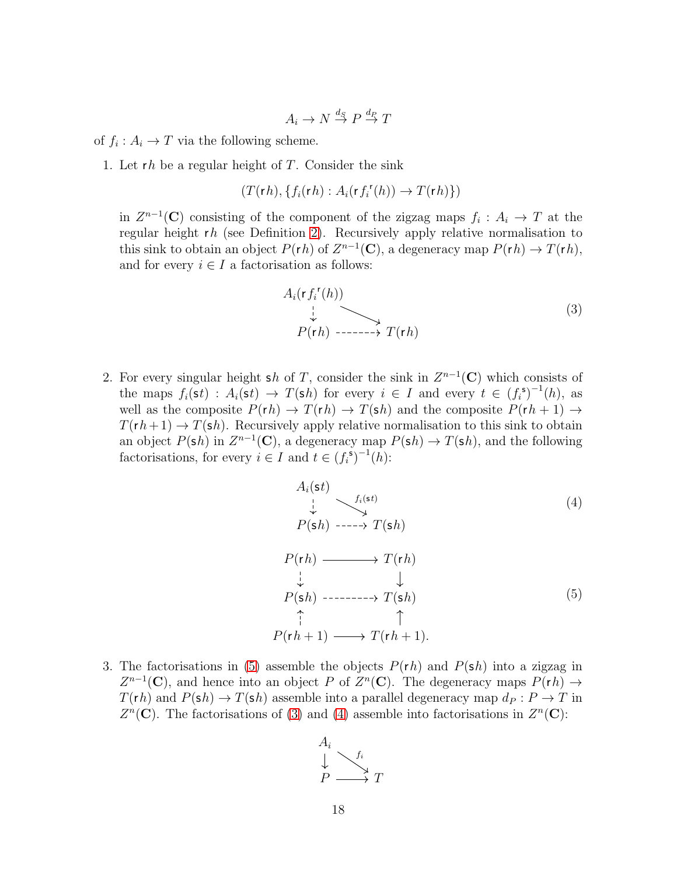$$
A_i \to N \stackrel{d_S}{\to} P \stackrel{d_P}{\to} T
$$

of  $f_i: A_i \to T$  via the following scheme.

1. Let  $rh$  be a regular height of  $T$ . Consider the sink

$$
(T(\mathsf{r}\,h),\{f_i(\mathsf{r}\,h):A_i(\mathsf{r}\,f_i^{\mathsf{r}}(h))\to T(\mathsf{r}\,h)\})
$$

in  $Z^{n-1}(\mathbf{C})$  consisting of the component of the zigzag maps  $f_i: A_i \to T$  at the regular height rh (see Definition [2\)](#page-6-2). Recursively apply relative normalisation to this sink to obtain an object  $P(rh)$  of  $Z^{n-1}(\mathbf{C})$ , a degeneracy map  $P(rh) \to T(rh)$ , and for every  $i \in I$  a factorisation as follows:

<span id="page-17-1"></span>
$$
A_i(\mathbf{r} f_i^{\mathbf{r}}(h)) \downarrow
$$
  
\n
$$
P(\mathbf{r} h) \longrightarrow T(\mathbf{r} h)
$$
 (3)

2. For every singular height sh of T, consider the sink in  $Z^{n-1}(\mathbb{C})$  which consists of the maps  $f_i(\mathsf{s}t) : A_i(\mathsf{s}t) \to T(\mathsf{s}h)$  for every  $i \in I$  and every  $t \in (f_i^{\mathsf{s}})^{-1}(h)$ , as well as the composite  $P(rh) \rightarrow T(rh) \rightarrow T(sh)$  and the composite  $P(rh + 1) \rightarrow$  $T(rh + 1) \rightarrow T(\mathsf{sh})$ . Recursively apply relative normalisation to this sink to obtain an object  $P(\mathsf{s}h)$  in  $Z^{n-1}(\mathbf{C})$ , a degeneracy map  $P(\mathsf{s}h) \to T(\mathsf{s}h)$ , and the following factorisations, for every  $i \in I$  and  $t \in (f_i^{\mathfrak{s}})^{-1}(h)$ :

<span id="page-17-2"></span><span id="page-17-0"></span>
$$
A_i(st)
$$
\n
$$
P(sh) \xrightarrow{f_i(st)}
$$
\n
$$
P(sh) \xrightarrow{f_i(st)}
$$
\n
$$
P(rh) \xrightarrow{\xrightarrow{\downarrow}} T(rh)
$$
\n
$$
\downarrow \qquad \downarrow
$$
\n
$$
P(sh) \xrightarrow{\xrightarrow{\uparrow} \qquad} T(sh)
$$
\n
$$
\uparrow \qquad \uparrow
$$
\n
$$
P(rh+1) \xrightarrow{\xrightarrow{\uparrow} \qquad} T(rh+1).
$$
\n(5)

3. The factorisations in [\(5\)](#page-17-0) assemble the objects  $P(rh)$  and  $P(sh)$  into a zigzag in  $Z^{n-1}(\mathbf{C})$ , and hence into an object P of  $Z^n(\mathbf{C})$ . The degeneracy maps  $P(rh) \to$  $T(rh)$  and  $P(\mathsf{sh}) \to T(\mathsf{sh})$  assemble into a parallel degeneracy map  $d_P : P \to T$  in  $Z<sup>n</sup>(**C**)$ . The factorisations of [\(3\)](#page-17-1) and [\(4\)](#page-17-2) assemble into factorisations in  $Z<sup>n</sup>(**C**)$ :

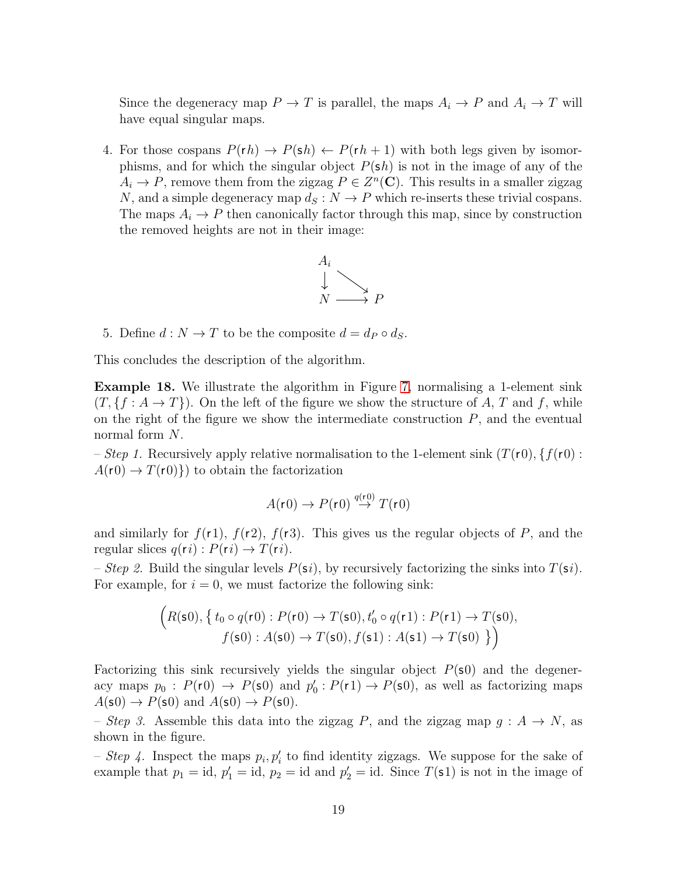Since the degeneracy map  $P \to T$  is parallel, the maps  $A_i \to P$  and  $A_i \to T$  will have equal singular maps.

4. For those cospans  $P(rh) \rightarrow P(\mathsf{s}h) \leftarrow P(rh+1)$  with both legs given by isomorphisms, and for which the singular object  $P(\mathsf{sh})$  is not in the image of any of the  $A_i \to P$ , remove them from the zigzag  $P \in Z^n(\mathbb{C})$ . This results in a smaller zigzag N, and a simple degeneracy map  $d_S : N \to P$  which re-inserts these trivial cospans. The maps  $A_i \to P$  then canonically factor through this map, since by construction the removed heights are not in their image:



5. Define  $d : N \to T$  to be the composite  $d = d_P \circ d_S$ .

This concludes the description of the algorithm.

 $\overline{ }$ 

<span id="page-18-0"></span>Example 18. We illustrate the algorithm in Figure [7,](#page-16-0) normalising a 1-element sink  $(T, \{f : A \to T\})$ . On the left of the figure we show the structure of A, T and f, while on the right of the figure we show the intermediate construction  $P$ , and the eventual normal form N.

– Step 1. Recursively apply relative normalisation to the 1-element sink  $(T(r0), \{f(r0):$  $A(r0) \rightarrow T(r0)$  to obtain the factorization

$$
A(\mathbf{r}0) \to P(\mathbf{r}0) \stackrel{q(\mathbf{r}0)}{\to} T(\mathbf{r}0)
$$

and similarly for  $f(r1)$ ,  $f(r2)$ ,  $f(r3)$ . This gives us the regular objects of P, and the regular slices  $q(ri) : P(ri) \rightarrow T(ri)$ .

– Step 2. Build the singular levels  $P(\mathbf{s}i)$ , by recursively factorizing the sinks into  $T(\mathbf{s}i)$ . For example, for  $i = 0$ , we must factorize the following sink:

$$
\left(R(\mathbf{s}0), \left\{ t_0 \circ q(\mathbf{r}0) : P(\mathbf{r}0) \to T(\mathbf{s}0), t'_0 \circ q(\mathbf{r}1) : P(\mathbf{r}1) \to T(\mathbf{s}0),\right.\right.\left.f(\mathbf{s}0) : A(\mathbf{s}0) \to T(\mathbf{s}0), f(\mathbf{s}1) : A(\mathbf{s}1) \to T(\mathbf{s}0) \right.\right\})
$$

Factorizing this sink recursively yields the singular object  $P(\textbf{s}0)$  and the degeneracy maps  $p_0: P(r0) \rightarrow P(\textbf{s}0)$  and  $p'_0$  $Q_0: P(r1) \to P(\mathsf{s0}),$  as well as factorizing maps  $A(\mathsf{s0}) \to P(\mathsf{s0})$  and  $A(\mathsf{s0}) \to P(\mathsf{s0})$ .

– Step 3. Assemble this data into the zigzag P, and the zigzag map  $g : A \to N$ , as shown in the figure.

- Step 4. Inspect the maps  $p_i, p'_i$  to find identity zigzags. We suppose for the sake of example that  $p_1 = id$ ,  $p_1' = id$ ,  $p_2 = id$  and  $p_2' = id$ . Since  $T(\text{s1})$  is not in the image of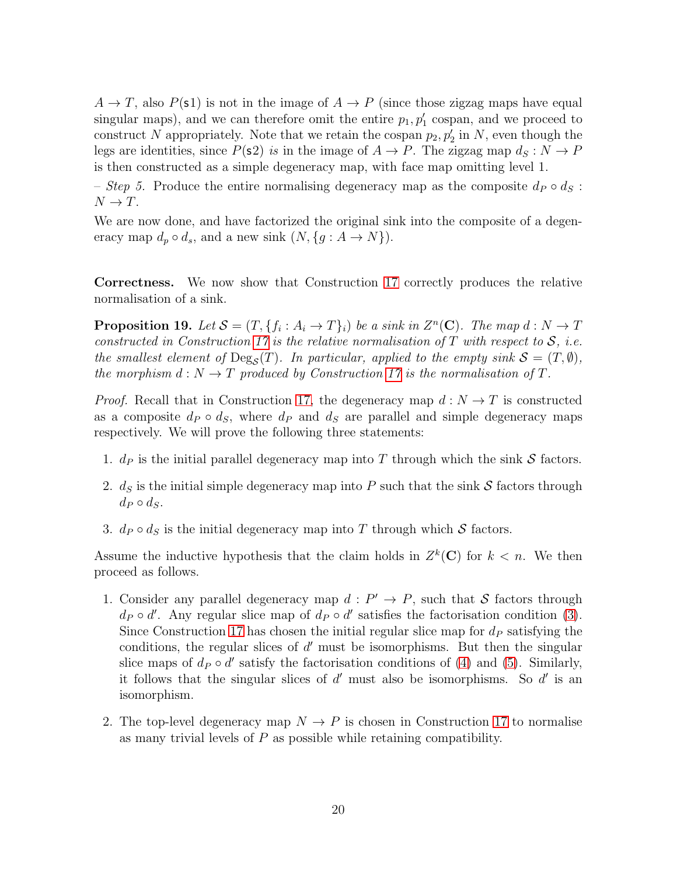$A \to T$ , also  $P(\text{s1})$  is not in the image of  $A \to P$  (since those zigzag maps have equal singular maps), and we can therefore omit the entire  $p_1, p'_1$  cospan, and we proceed to construct N appropriately. Note that we retain the cospan  $p_2, p'_2$  in N, even though the legs are identities, since  $P(\text{s2})$  is in the image of  $A \to P$ . The zigzag map  $d_S : N \to P$ is then constructed as a simple degeneracy map, with face map omitting level 1.

– Step 5. Produce the entire normalising degeneracy map as the composite  $d_P \circ d_S$ :  $N \to T$ .

We are now done, and have factorized the original sink into the composite of a degeneracy map  $d_p \circ d_s$ , and a new sink  $(N, \{g : A \to N\})$ .

Correctness. We now show that Construction [17](#page-16-1) correctly produces the relative normalisation of a sink.

<span id="page-19-0"></span>**Proposition 19.** Let  $S = (T, \{f_i : A_i \to T\}_i)$  be a sink in  $Z^n(\mathbf{C})$ . The map  $d : N \to T$ constructed in Construction [17](#page-16-1) is the relative normalisation of T with respect to  $S$ , i.e. the smallest element of  $\text{Deg}_{\mathcal{S}}(T)$ . In particular, applied to the empty sink  $\mathcal{S} = (T, \emptyset)$ , the morphism  $d: N \to T$  produced by Construction [17](#page-16-1) is the normalisation of T.

*Proof.* Recall that in Construction [17,](#page-16-1) the degeneracy map  $d: N \to T$  is constructed as a composite  $d_P \circ d_S$ , where  $d_P$  and  $d_S$  are parallel and simple degeneracy maps respectively. We will prove the following three statements:

- 1.  $d_P$  is the initial parallel degeneracy map into T through which the sink S factors.
- 2.  $d_S$  is the initial simple degeneracy map into P such that the sink S factors through  $d_P \circ d_S$ .
- 3.  $d_P \circ d_S$  is the initial degeneracy map into T through which S factors.

Assume the inductive hypothesis that the claim holds in  $Z^k(\mathbb{C})$  for  $k < n$ . We then proceed as follows.

- 1. Consider any parallel degeneracy map  $d: P' \to P$ , such that S factors through  $d_P \circ d'$ . Any regular slice map of  $d_P \circ d'$  satisfies the factorisation condition [\(3\)](#page-17-1). Since Construction [17](#page-16-1) has chosen the initial regular slice map for  $d<sub>P</sub>$  satisfying the conditions, the regular slices of  $d'$  must be isomorphisms. But then the singular slice maps of  $d_P \circ d'$  satisfy the factorisation conditions of [\(4\)](#page-17-2) and [\(5\)](#page-17-0). Similarly, it follows that the singular slices of  $d'$  must also be isomorphisms. So  $d'$  is an isomorphism.
- 2. The top-level degeneracy map  $N \to P$  is chosen in Construction [17](#page-16-1) to normalise as many trivial levels of  $P$  as possible while retaining compatibility.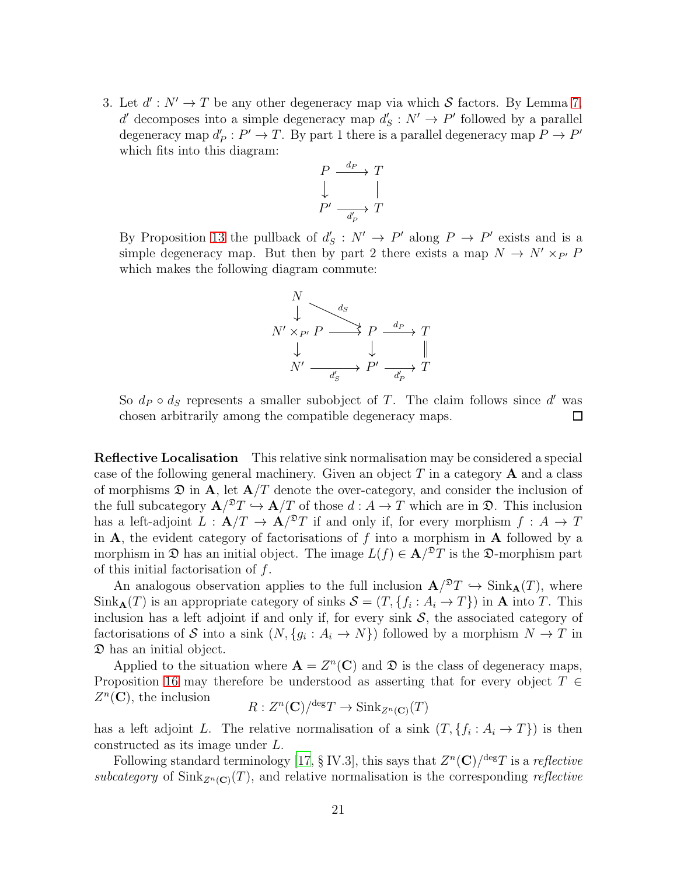3. Let  $d' : N' \to T$  be any other degeneracy map via which S factors. By Lemma [7,](#page-10-3)  $d'$  decomposes into a simple degeneracy map  $d'$  $S'_{S}: N' \to P'$  followed by a parallel degeneracy map  $d'_{i}$  $P_P': P' \to T$ . By part 1 there is a parallel degeneracy map  $P \to P'$ which fits into this diagram:



By Proposition [13](#page-12-0) the pullback of  $d'$  $S'_{S}: N' \to P'$  along  $P \to P'$  exists and is a simple degeneracy map. But then by part 2 there exists a map  $N \to N' \times_{P'} P$ which makes the following diagram commute:

$$
N' \times_{P'} P \longrightarrow^{\text{d}_S} P \longrightarrow^{\text{d}_P} T
$$
  

$$
\downarrow \qquad \qquad \downarrow \qquad \qquad \parallel
$$
  

$$
N' \longrightarrow^{\text{d}_S} P' \longrightarrow^{\text{d}_P} T
$$

So  $d_P \circ d_S$  represents a smaller subobject of T. The claim follows since d' was chosen arbitrarily among the compatible degeneracy maps.  $\Box$ 

Reflective Localisation This relative sink normalisation may be considered a special case of the following general machinery. Given an object  $T$  in a category  $A$  and a class of morphisms  $\mathfrak D$  in A, let  $\mathbf A/T$  denote the over-category, and consider the inclusion of the full subcategory  $\mathbf{A}/T \hookrightarrow \mathbf{A}/T$  of those  $d : A \to T$  which are in  $\mathfrak{D}$ . This inclusion has a left-adjoint  $L : \mathbf{A}/T \to \mathbf{A}/^2T$  if and only if, for every morphism  $f : A \to T$ in  $A$ , the evident category of factorisations of f into a morphism in  $A$  followed by a morphism in  $\mathfrak D$  has an initial object. The image  $L(f) \in \mathbf A^{pT}$  is the  $\mathfrak D$ -morphism part of this initial factorisation of  $f$ .

An analogous observation applies to the full inclusion  $\mathbf{A}/^{\mathfrak{D}}T \hookrightarrow \text{Sink}_{\mathbf{A}}(T)$ , where  $\text{Sink}_{\mathbf{A}}(T)$  is an appropriate category of sinks  $\mathcal{S} = (T, \{f_i : A_i \to T\})$  in  $\mathbf{A}$  into T. This inclusion has a left adjoint if and only if, for every sink  $S$ , the associated category of factorisations of S into a sink  $(N, \{g_i : A_i \to N\})$  followed by a morphism  $N \to T$  in D has an initial object.

Applied to the situation where  $\mathbf{A} = Z^n(\mathbf{C})$  and  $\mathfrak{D}$  is the class of degeneracy maps, Proposition [16](#page-16-2) may therefore be understood as asserting that for every object  $T \in$  $Z<sup>n</sup>(**C**)$ , the inclusion

$$
R: Z^n(\mathbf{C})/^{\text{deg}}T \to \text{Sink}_{Z^n(\mathbf{C})}(T)
$$

has a left adjoint L. The relative normalisation of a sink  $(T, \{f_i : A_i \to T\})$  is then constructed as its image under L.

Following standard terminology [\[17](#page-27-11), § IV.3], this says that  $Z^n(\mathbf{C})^{/\text{deg}}T$  is a *reflective* subcategory of  $\text{Sink}_{Z^n(\mathbf{C})}(T)$ , and relative normalisation is the corresponding reflective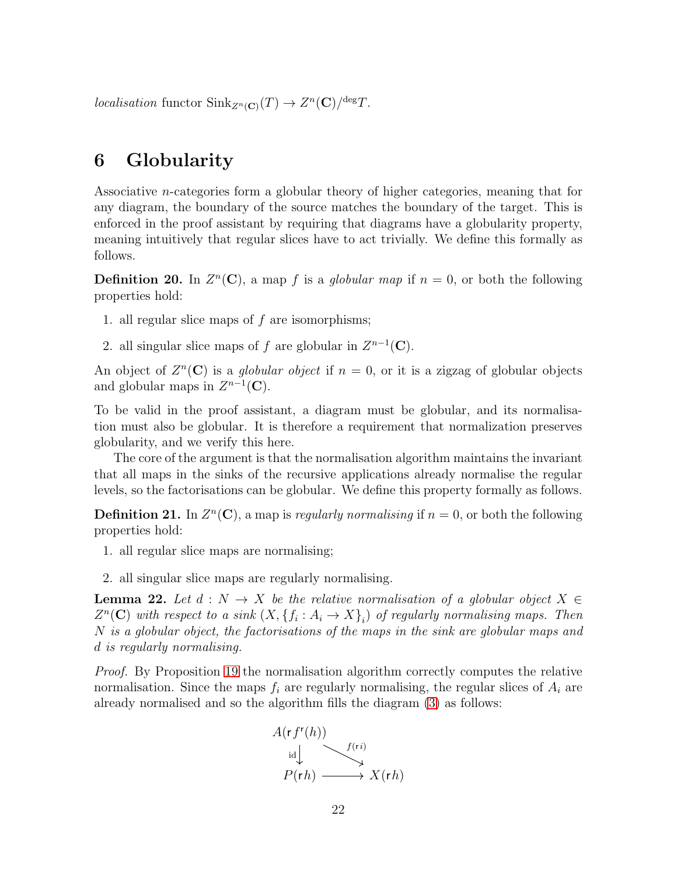localisation functor  $\text{Sink}_{Z^n(\mathbf{C})}(T) \to Z^n(\mathbf{C})/^{\text{deg}}T$ .

# 6 Globularity

Associative n-categories form a globular theory of higher categories, meaning that for any diagram, the boundary of the source matches the boundary of the target. This is enforced in the proof assistant by requiring that diagrams have a globularity property, meaning intuitively that regular slices have to act trivially. We define this formally as follows.

**Definition 20.** In  $Z^n(\mathbb{C})$ , a map f is a globular map if  $n = 0$ , or both the following properties hold:

- 1. all regular slice maps of  $f$  are isomorphisms;
- 2. all singular slice maps of f are globular in  $Z^{n-1}(\mathbf{C})$ .

An object of  $Z<sup>n</sup>(**C**)$  is a *globular object* if  $n = 0$ , or it is a zigzag of globular objects and globular maps in  $Z^{n-1}(\mathbf{C})$ .

To be valid in the proof assistant, a diagram must be globular, and its normalisation must also be globular. It is therefore a requirement that normalization preserves globularity, and we verify this here.

The core of the argument is that the normalisation algorithm maintains the invariant that all maps in the sinks of the recursive applications already normalise the regular levels, so the factorisations can be globular. We define this property formally as follows.

**Definition 21.** In  $Z^n(\mathbb{C})$ , a map is *regularly normalising* if  $n = 0$ , or both the following properties hold:

- 1. all regular slice maps are normalising;
- 2. all singular slice maps are regularly normalising.

<span id="page-21-0"></span>**Lemma 22.** Let  $d : N \to X$  be the relative normalisation of a globular object  $X \in$  $Z<sup>n</sup>(**C**)$  with respect to a sink  $(X, \{f_i : A_i \to X\}_i)$  of regularly normalising maps. Then N is a globular object, the factorisations of the maps in the sink are globular maps and d is regularly normalising.

Proof. By Proposition [19](#page-19-0) the normalisation algorithm correctly computes the relative normalisation. Since the maps  $f_i$  are regularly normalising, the regular slices of  $A_i$  are already normalised and so the algorithm fills the diagram [\(3\)](#page-17-1) as follows:

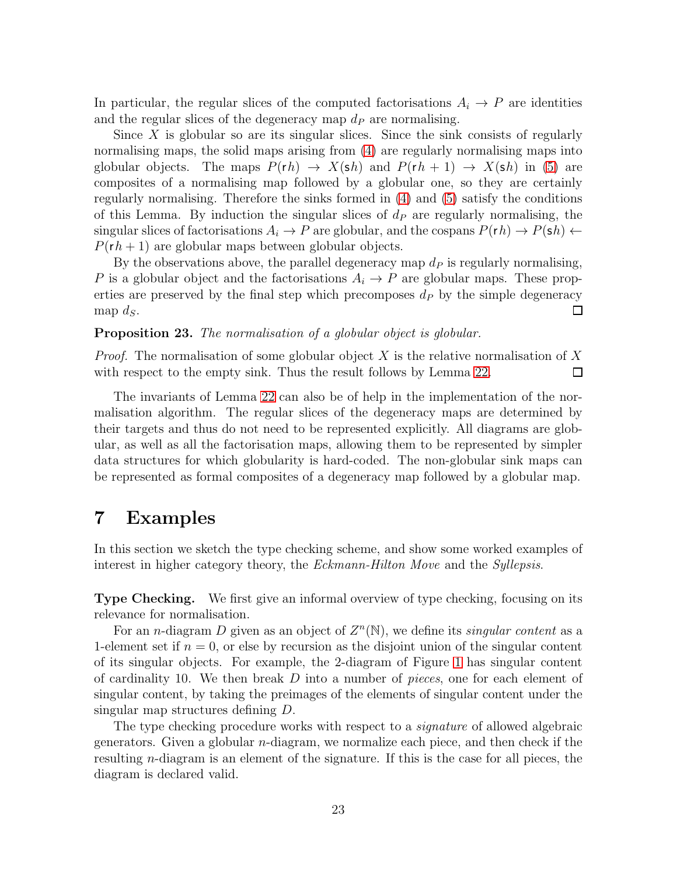In particular, the regular slices of the computed factorisations  $A_i \rightarrow P$  are identities and the regular slices of the degeneracy map  $d<sub>P</sub>$  are normalising.

Since  $X$  is globular so are its singular slices. Since the sink consists of regularly normalising maps, the solid maps arising from [\(4\)](#page-17-2) are regularly normalising maps into globular objects. The maps  $P(rh) \rightarrow X(\text{sh})$  and  $P(rh + 1) \rightarrow X(\text{sh})$  in [\(5\)](#page-17-0) are composites of a normalising map followed by a globular one, so they are certainly regularly normalising. Therefore the sinks formed in [\(4\)](#page-17-2) and [\(5\)](#page-17-0) satisfy the conditions of this Lemma. By induction the singular slices of  $d<sub>P</sub>$  are regularly normalising, the singular slices of factorisations  $A_i \to P$  are globular, and the cospans  $P(rh) \to P(sh)$   $\leftarrow$  $P(rh+1)$  are globular maps between globular objects.

By the observations above, the parallel degeneracy map  $d<sub>P</sub>$  is regularly normalising, P is a globular object and the factorisations  $A_i \to P$  are globular maps. These properties are preserved by the final step which precomposes  $d<sub>P</sub>$  by the simple degeneracy map  $d_S$ .  $\Box$ 

Proposition 23. The normalisation of a globular object is globular.

*Proof.* The normalisation of some globular object X is the relative normalisation of X with respect to the empty sink. Thus the result follows by Lemma [22.](#page-21-0)  $\Box$ 

The invariants of Lemma [22](#page-21-0) can also be of help in the implementation of the normalisation algorithm. The regular slices of the degeneracy maps are determined by their targets and thus do not need to be represented explicitly. All diagrams are globular, as well as all the factorisation maps, allowing them to be represented by simpler data structures for which globularity is hard-coded. The non-globular sink maps can be represented as formal composites of a degeneracy map followed by a globular map.

### <span id="page-22-0"></span>7 Examples

In this section we sketch the type checking scheme, and show some worked examples of interest in higher category theory, the Eckmann-Hilton Move and the Syllepsis.

Type Checking. We first give an informal overview of type checking, focusing on its relevance for normalisation.

For an *n*-diagram D given as an object of  $Z<sup>n</sup>(\mathbb{N})$ , we define its *singular content* as a 1-element set if  $n = 0$ , or else by recursion as the disjoint union of the singular content of its singular objects. For example, the 2-diagram of Figure [1](#page-1-0) has singular content of cardinality 10. We then break  $D$  into a number of *pieces*, one for each element of singular content, by taking the preimages of the elements of singular content under the singular map structures defining D.

The type checking procedure works with respect to a *signature* of allowed algebraic generators. Given a globular n-diagram, we normalize each piece, and then check if the resulting n-diagram is an element of the signature. If this is the case for all pieces, the diagram is declared valid.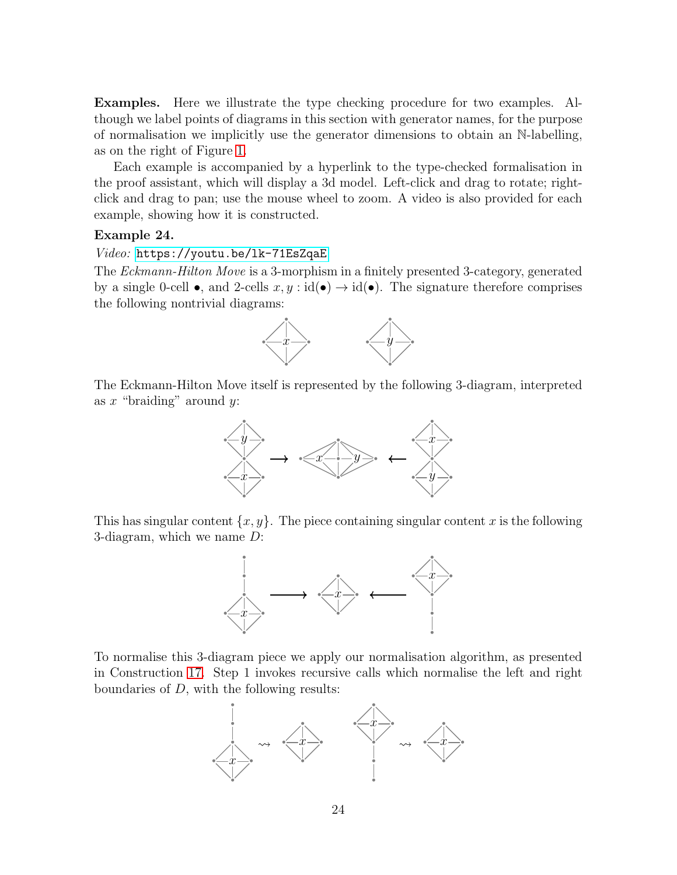Examples. Here we illustrate the type checking procedure for two examples. Although we label points of diagrams in this section with generator names, for the purpose of normalisation we implicitly use the generator dimensions to obtain an N-labelling, as on the right of Figure [1.](#page-1-0)

Each example is accompanied by a hyperlink to the type-checked formalisation in the proof assistant, which will display a 3d model. Left-click and drag to rotate; rightclick and drag to pan; use the mouse wheel to zoom. A video is also provided for each example, showing how it is constructed.

#### Example 24.

#### Video: <https://youtu.be/lk-71EsZqaE>

The Eckmann-Hilton Move is a 3-morphism in a finitely presented 3-category, generated by a single 0-cell  $\bullet$ , and 2-cells  $x, y : id(\bullet) \to id(\bullet)$ . The signature therefore comprises the following nontrivial diagrams:



The Eckmann-Hilton Move itself is represented by the following 3-diagram, interpreted as  $x$  "braiding" around  $y$ :



This has singular content  $\{x, y\}$ . The piece containing singular content x is the following 3-diagram, which we name D:



To normalise this 3-diagram piece we apply our normalisation algorithm, as presented in Construction [17.](#page-16-1) Step 1 invokes recursive calls which normalise the left and right boundaries of D, with the following results:

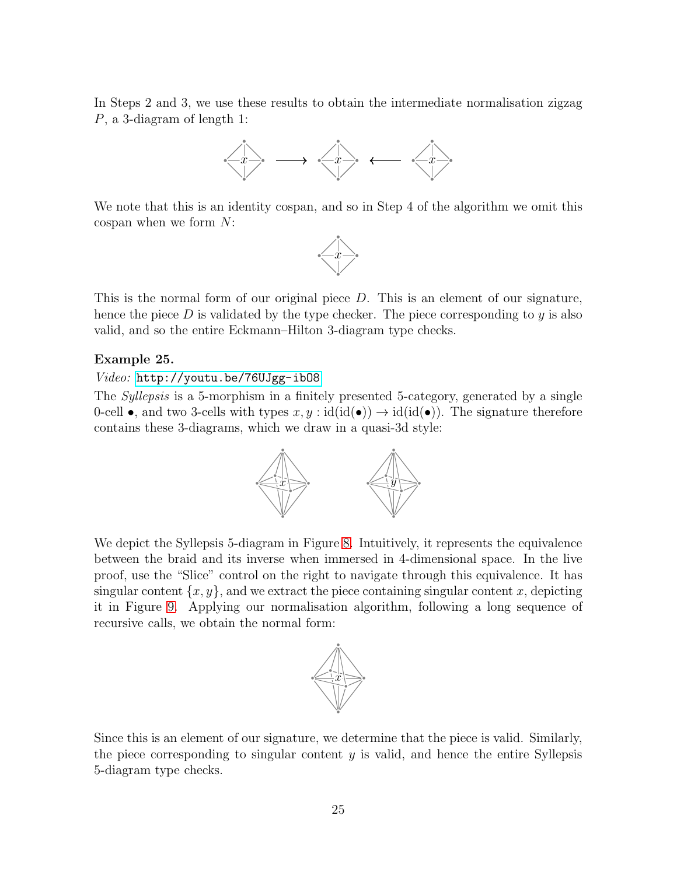In Steps 2 and 3, we use these results to obtain the intermediate normalisation zigzag P, a 3-diagram of length 1:



We note that this is an identity cospan, and so in Step 4 of the algorithm we omit this cospan when we form N:



This is the normal form of our original piece  $D$ . This is an element of our signature, hence the piece  $D$  is validated by the type checker. The piece corresponding to  $y$  is also valid, and so the entire Eckmann–Hilton 3-diagram type checks.

#### Example 25.

#### Video: <http://youtu.be/76UJgg-ibO8>

The *Syllepsis* is a 5-morphism in a finitely presented 5-category, generated by a single 0-cell •, and two 3-cells with types  $x, y : id(id(•)) \to id(id(•))$ . The signature therefore contains these 3-diagrams, which we draw in a quasi-3d style:



We depict the Syllepsis 5-diagram in Figure [8.](#page-25-0) Intuitively, it represents the equivalence between the braid and its inverse when immersed in 4-dimensional space. In the live proof, use the "Slice" control on the right to navigate through this equivalence. It has singular content  $\{x, y\}$ , and we extract the piece containing singular content x, depicting it in Figure [9.](#page-25-1) Applying our normalisation algorithm, following a long sequence of recursive calls, we obtain the normal form:



Since this is an element of our signature, we determine that the piece is valid. Similarly, the piece corresponding to singular content  $y$  is valid, and hence the entire Syllepsis 5-diagram type checks.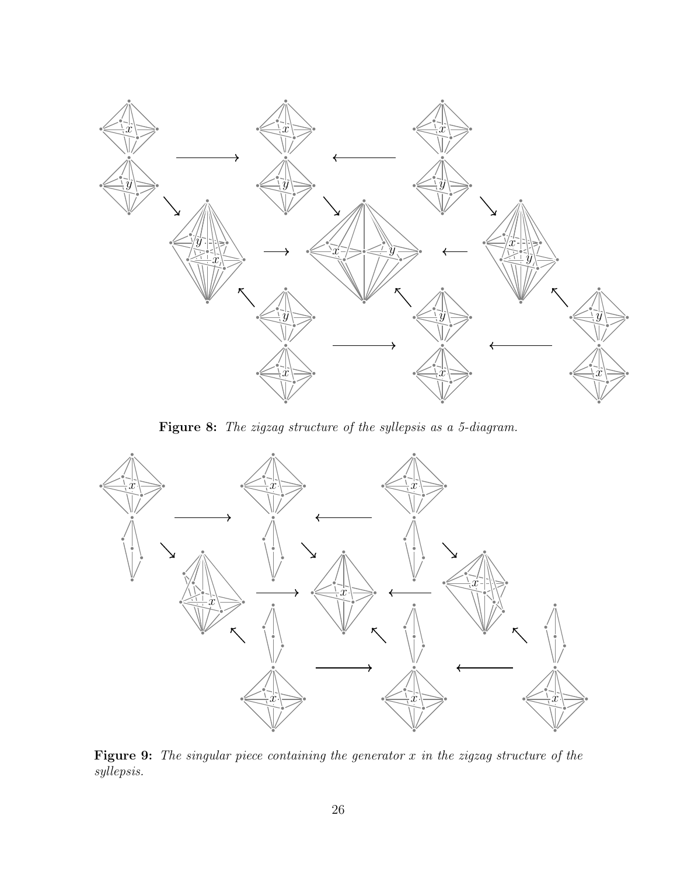<span id="page-25-0"></span>

Figure 8: The zigzag structure of the syllepsis as a 5-diagram.

<span id="page-25-1"></span>

Figure 9: The singular piece containing the generator  $x$  in the zigzag structure of the syllepsis.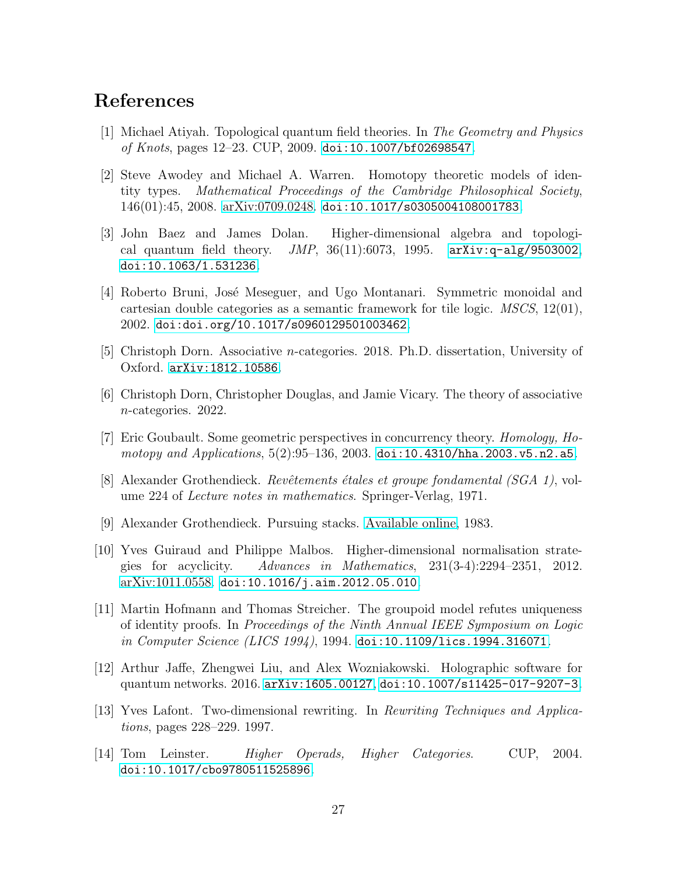# References

- <span id="page-26-3"></span>[1] Michael Atiyah. Topological quantum field theories. In The Geometry and Physics of Knots, pages  $12-23$ . CUP,  $2009$ . [doi:10.1007/bf02698547](http://dx.doi.org/10.1007/bf02698547).
- <span id="page-26-0"></span>[2] Steve Awodey and Michael A. Warren. Homotopy theoretic models of identity types. Mathematical Proceedings of the Cambridge Philosophical Society, 146(01):45, 2008. [arXiv:0709.0248.](https://arxiv.org/abs/0709.0248) [doi:10.1017/s0305004108001783](http://dx.doi.org/10.1017/s0305004108001783).
- <span id="page-26-2"></span>[3] John Baez and James Dolan. Higher-dimensional algebra and topological quantum field theory.  $JMP$ , 36(11):6073, 1995. [arXiv:q-alg/9503002](http://arxiv.org/abs/q-alg/9503002), [doi:10.1063/1.531236](http://dx.doi.org/10.1063/1.531236).
- <span id="page-26-8"></span>[4] Roberto Bruni, José Meseguer, and Ugo Montanari. Symmetric monoidal and cartesian double categories as a semantic framework for tile logic. MSCS, 12(01), 2002. [doi:doi.org/10.1017/s0960129501003462](http://dx.doi.org/doi.org/10.1017/s0960129501003462).
- <span id="page-26-11"></span>[5] Christoph Dorn. Associative n-categories. 2018. Ph.D. dissertation, University of Oxford. [arXiv:1812.10586](http://arxiv.org/abs/1812.10586).
- <span id="page-26-12"></span>[6] Christoph Dorn, Christopher Douglas, and Jamie Vicary. The theory of associative n-categories. 2022.
- <span id="page-26-9"></span>[7] Eric Goubault. Some geometric perspectives in concurrency theory. Homology, Homotopy and Applications,  $5(2):95-136$ ,  $2003$ . [doi:10.4310/hha.2003.v5.n2.a5](http://dx.doi.org/10.4310/hha.2003.v5.n2.a5).
- <span id="page-26-13"></span>[8] Alexander Grothendieck. Revêtements étales et groupe fondamental (SGA 1), volume 224 of Lecture notes in mathematics. Springer-Verlag, 1971.
- <span id="page-26-4"></span>[9] Alexander Grothendieck. Pursuing stacks. [Available online,](https://ncatlab.org/nlab/show/Pursuing+Stacks) 1983.
- <span id="page-26-5"></span>[10] Yves Guiraud and Philippe Malbos. Higher-dimensional normalisation strategies for acyclicity. Advances in Mathematics, 231(3-4):2294–2351, 2012. [arXiv:1011.0558.](https://arxiv.org/abs/1011.0558) [doi:10.1016/j.aim.2012.05.010](http://dx.doi.org/10.1016/j.aim.2012.05.010).
- <span id="page-26-1"></span>[11] Martin Hofmann and Thomas Streicher. The groupoid model refutes uniqueness of identity proofs. In Proceedings of the Ninth Annual IEEE Symposium on Logic in Computer Science (LICS 1994), 1994. [doi:10.1109/lics.1994.316071](http://dx.doi.org/10.1109/lics.1994.316071).
- <span id="page-26-7"></span>[12] Arthur Jaffe, Zhengwei Liu, and Alex Wozniakowski. Holographic software for quantum networks. 2016. [arXiv:1605.00127](http://arxiv.org/abs/1605.00127), [doi:10.1007/s11425-017-9207-3](http://dx.doi.org/10.1007/s11425-017-9207-3).
- <span id="page-26-6"></span>[13] Yves Lafont. Two-dimensional rewriting. In Rewriting Techniques and Applications, pages 228–229. 1997.
- <span id="page-26-10"></span>[14] Tom Leinster. Higher Operads, Higher Categories. CUP, 2004. [doi:10.1017/cbo9780511525896](http://dx.doi.org/10.1017/cbo9780511525896).